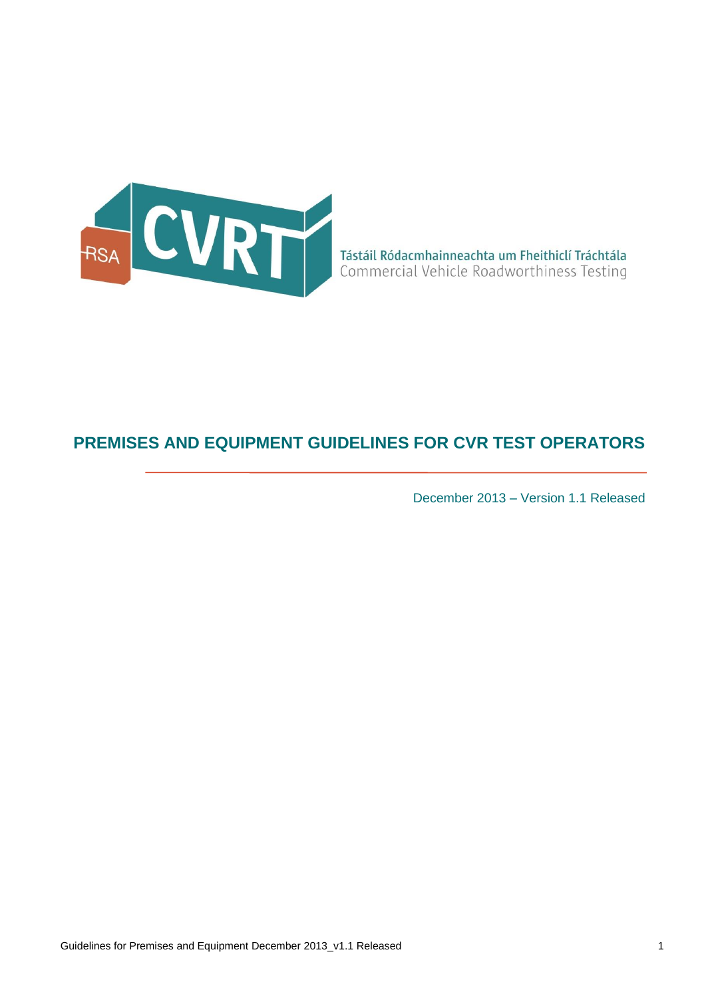

# **PREMISES AND EQUIPMENT GUIDELINES FOR CVR TEST OPERATORS**

December 2013 – Version 1.1 Released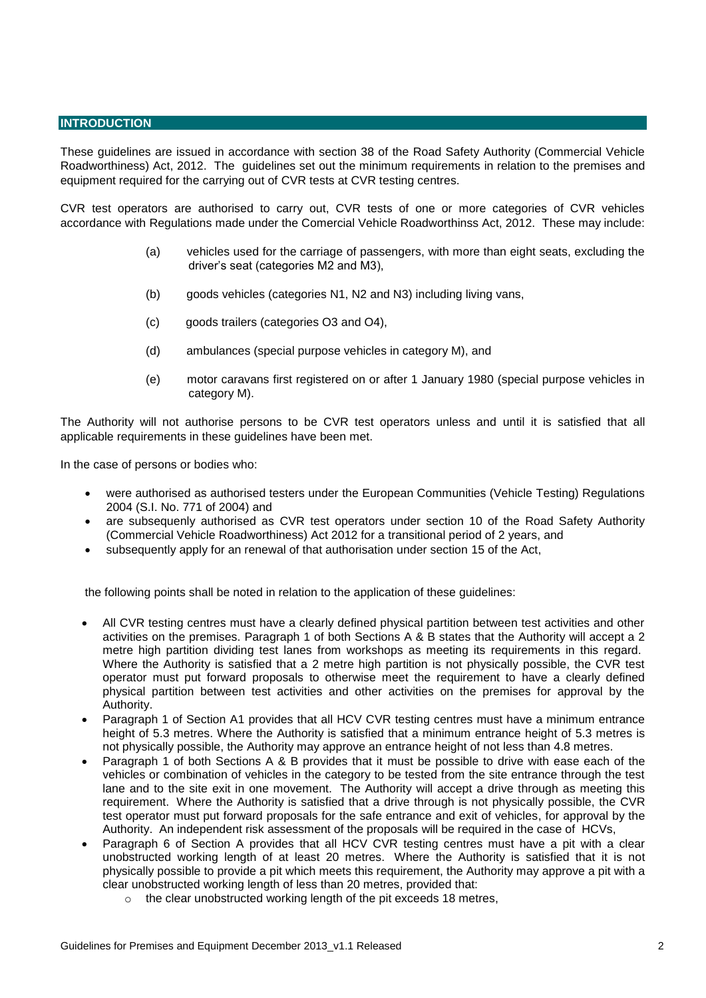#### **INTRODUCTION**

These guidelines are issued in accordance with section 38 of the Road Safety Authority (Commercial Vehicle Roadworthiness) Act, 2012. The guidelines set out the minimum requirements in relation to the premises and equipment required for the carrying out of CVR tests at CVR testing centres.

CVR test operators are authorised to carry out, CVR tests of one or more categories of CVR vehicles accordance with Regulations made under the Comercial Vehicle Roadworthinss Act, 2012. These may include:

- (a) vehicles used for the carriage of passengers, with more than eight seats, excluding the driver's seat (categories M2 and M3),
- (b) goods vehicles (categories N1, N2 and N3) including living vans,
- (c) goods trailers (categories O3 and O4),
- (d) ambulances (special purpose vehicles in category M), and
- (e) motor caravans first registered on or after 1 January 1980 (special purpose vehicles in category M).

The Authority will not authorise persons to be CVR test operators unless and until it is satisfied that all applicable requirements in these guidelines have been met.

In the case of persons or bodies who:

- were authorised as authorised testers under the European Communities (Vehicle Testing) Regulations 2004 (S.I. No. 771 of 2004) and
- are subsequenly authorised as CVR test operators under section 10 of the Road Safety Authority (Commercial Vehicle Roadworthiness) Act 2012 for a transitional period of 2 years, and
- subsequently apply for an renewal of that authorisation under section 15 of the Act,

the following points shall be noted in relation to the application of these guidelines:

- All CVR testing centres must have a clearly defined physical partition between test activities and other activities on the premises. Paragraph 1 of both Sections A & B states that the Authority will accept a 2 metre high partition dividing test lanes from workshops as meeting its requirements in this regard. Where the Authority is satisfied that a 2 metre high partition is not physically possible, the CVR test operator must put forward proposals to otherwise meet the requirement to have a clearly defined physical partition between test activities and other activities on the premises for approval by the Authority.
- Paragraph 1 of Section A1 provides that all HCV CVR testing centres must have a minimum entrance height of 5.3 metres. Where the Authority is satisfied that a minimum entrance height of 5.3 metres is not physically possible, the Authority may approve an entrance height of not less than 4.8 metres.
- Paragraph 1 of both Sections A & B provides that it must be possible to drive with ease each of the vehicles or combination of vehicles in the category to be tested from the site entrance through the test lane and to the site exit in one movement. The Authority will accept a drive through as meeting this requirement. Where the Authority is satisfied that a drive through is not physically possible, the CVR test operator must put forward proposals for the safe entrance and exit of vehicles, for approval by the Authority. An independent risk assessment of the proposals will be required in the case of HCVs,
- Paragraph 6 of Section A provides that all HCV CVR testing centres must have a pit with a clear unobstructed working length of at least 20 metres. Where the Authority is satisfied that it is not physically possible to provide a pit which meets this requirement, the Authority may approve a pit with a clear unobstructed working length of less than 20 metres, provided that:
	- o the clear unobstructed working length of the pit exceeds 18 metres,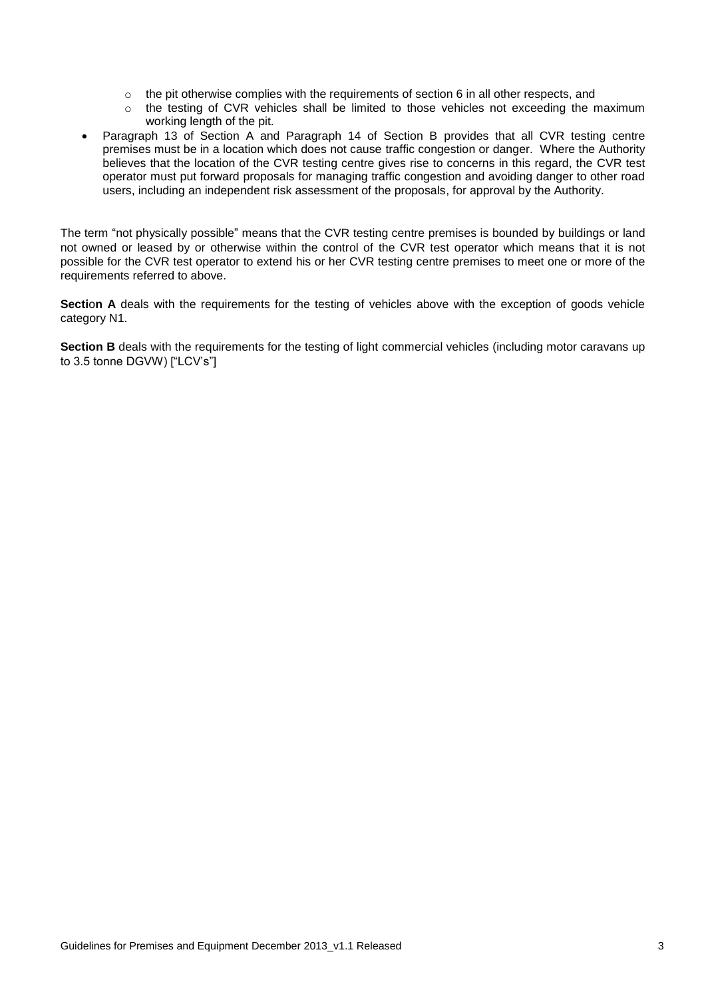- $\circ$  the pit otherwise complies with the requirements of section 6 in all other respects, and
- o the testing of CVR vehicles shall be limited to those vehicles not exceeding the maximum working length of the pit.
- Paragraph 13 of Section A and Paragraph 14 of Section B provides that all CVR testing centre premises must be in a location which does not cause traffic congestion or danger. Where the Authority believes that the location of the CVR testing centre gives rise to concerns in this regard, the CVR test operator must put forward proposals for managing traffic congestion and avoiding danger to other road users, including an independent risk assessment of the proposals, for approval by the Authority.

The term "not physically possible" means that the CVR testing centre premises is bounded by buildings or land not owned or leased by or otherwise within the control of the CVR test operator which means that it is not possible for the CVR test operator to extend his or her CVR testing centre premises to meet one or more of the requirements referred to above.

**Section A** deals with the requirements for the testing of vehicles above with the exception of goods vehicle category N1.

**Section B** deals with the requirements for the testing of light commercial vehicles (including motor caravans up to 3.5 tonne DGVW) ["LCV's"]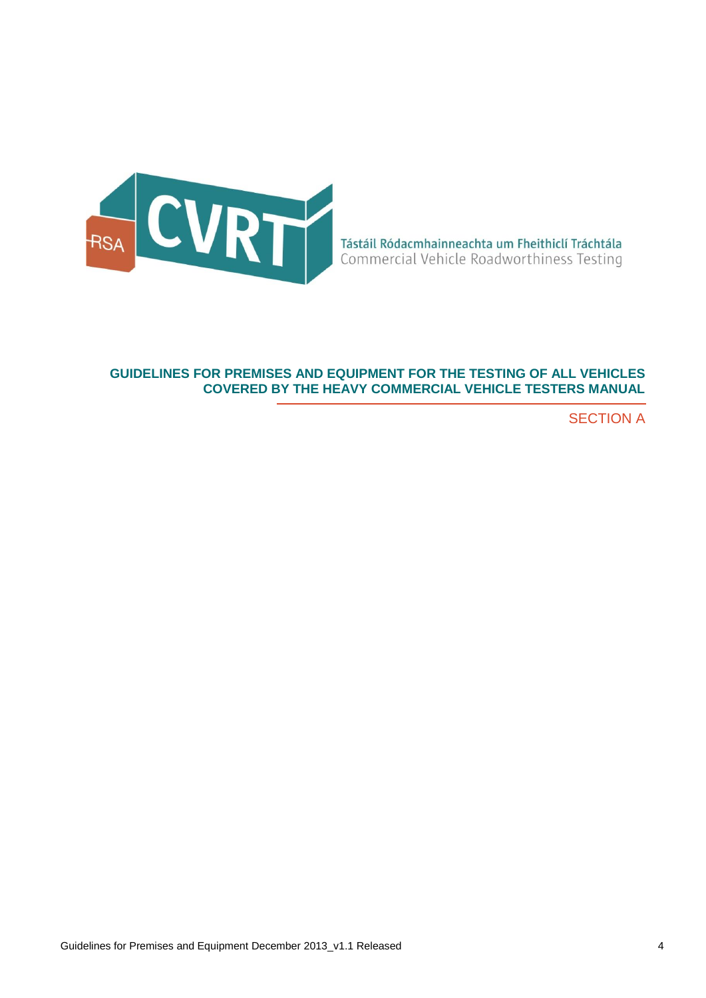

## **GUIDELINES FOR PREMISES AND EQUIPMENT FOR THE TESTING OF ALL VEHICLES COVERED BY THE HEAVY COMMERCIAL VEHICLE TESTERS MANUAL**

SECTION A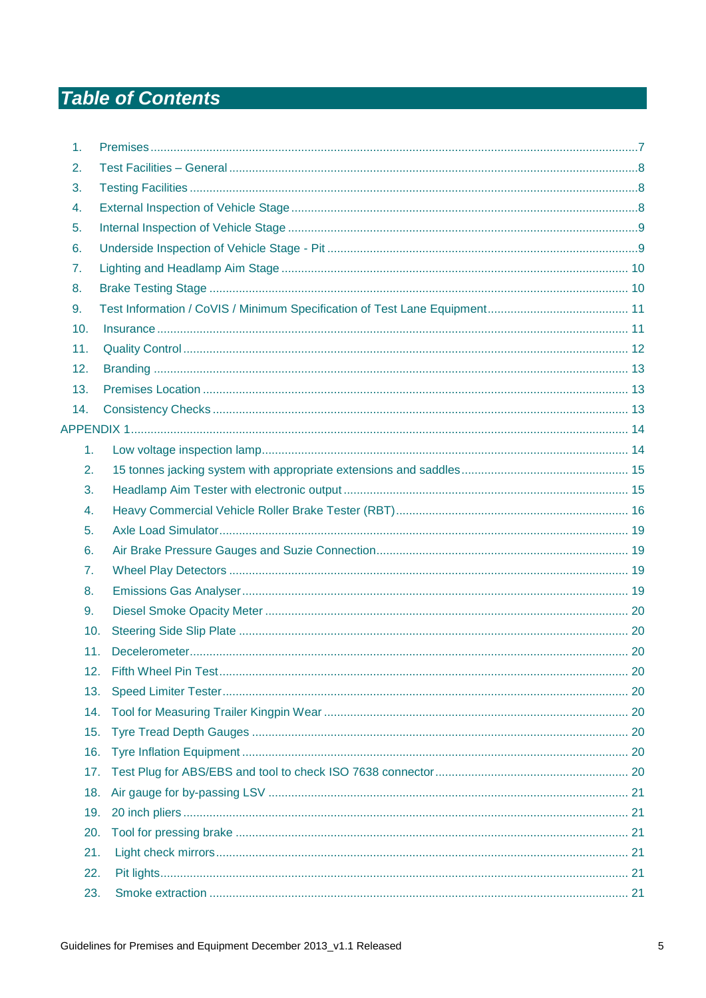# **Table of Contents**

| 1.             |  |
|----------------|--|
| 2.             |  |
| 3.             |  |
| 4.             |  |
| 5.             |  |
| 6.             |  |
| 7.             |  |
| 8.             |  |
| 9.             |  |
| 10.            |  |
| 11.            |  |
| 12.            |  |
| 13.            |  |
| 14.            |  |
|                |  |
| 1.             |  |
| 2.             |  |
| 3.             |  |
| 4.             |  |
| 5.             |  |
| 6.             |  |
| 7 <sub>1</sub> |  |
| 8.             |  |
| 9.             |  |
| 10.            |  |
| 11.            |  |
| 12.            |  |
| 13.            |  |
| 14.            |  |
| 15.            |  |
| 16.            |  |
| 17.            |  |
| 18.            |  |
| 19.            |  |
| 20.            |  |
| 21.            |  |
| 22.            |  |
| 23.            |  |
|                |  |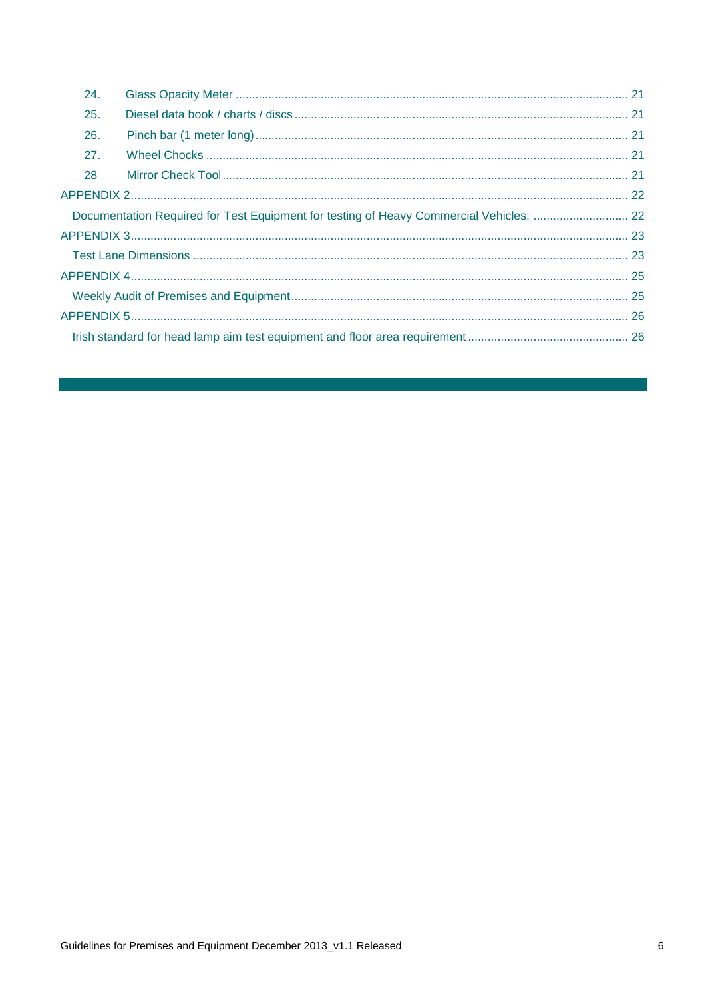| 24. |                                                                                         |  |
|-----|-----------------------------------------------------------------------------------------|--|
| 25. |                                                                                         |  |
| 26. |                                                                                         |  |
| 27. |                                                                                         |  |
| 28  |                                                                                         |  |
|     |                                                                                         |  |
|     | Documentation Required for Test Equipment for testing of Heavy Commercial Vehicles:  22 |  |
|     |                                                                                         |  |
|     |                                                                                         |  |
|     |                                                                                         |  |
|     |                                                                                         |  |
|     |                                                                                         |  |
|     |                                                                                         |  |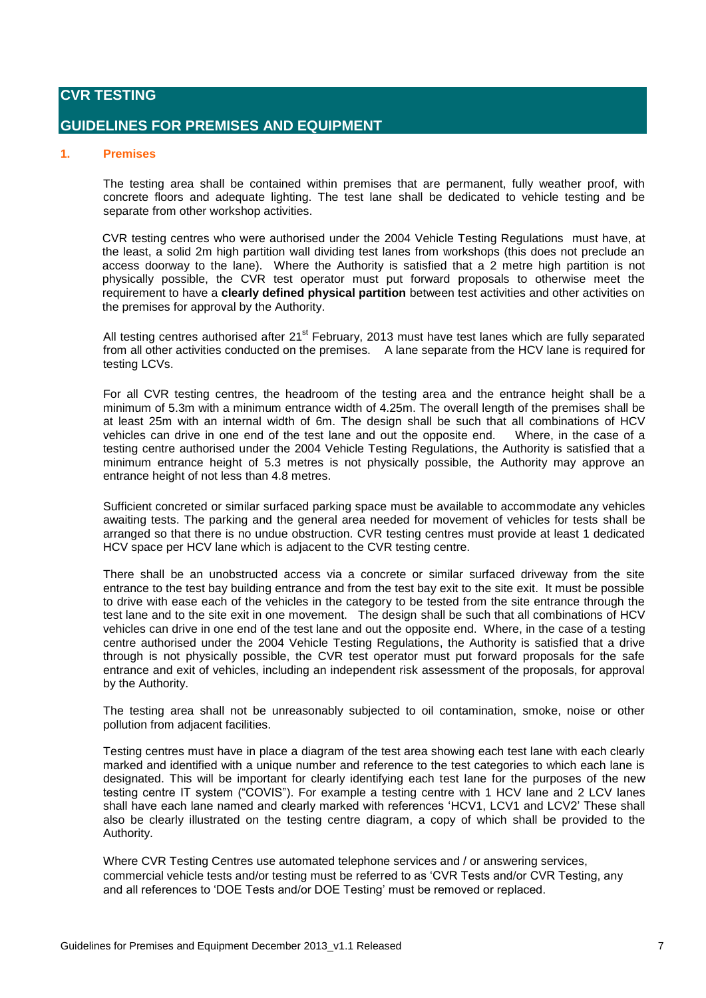## **CVR TESTING**

## **GUIDELINES FOR PREMISES AND EQUIPMENT**

#### <span id="page-6-0"></span>**1. Premises**

The testing area shall be contained within premises that are permanent, fully weather proof, with concrete floors and adequate lighting. The test lane shall be dedicated to vehicle testing and be separate from other workshop activities.

CVR testing centres who were authorised under the 2004 Vehicle Testing Regulations must have, at the least, a solid 2m high partition wall dividing test lanes from workshops (this does not preclude an access doorway to the lane). Where the Authority is satisfied that a 2 metre high partition is not physically possible, the CVR test operator must put forward proposals to otherwise meet the requirement to have a **clearly defined physical partition** between test activities and other activities on the premises for approval by the Authority.

All testing centres authorised after 21<sup>st</sup> February, 2013 must have test lanes which are fully separated from all other activities conducted on the premises. A lane separate from the HCV lane is required for testing LCVs.

For all CVR testing centres, the headroom of the testing area and the entrance height shall be a minimum of 5.3m with a minimum entrance width of 4.25m. The overall length of the premises shall be at least 25m with an internal width of 6m. The design shall be such that all combinations of HCV vehicles can drive in one end of the test lane and out the opposite end. Where, in the case of a testing centre authorised under the 2004 Vehicle Testing Regulations, the Authority is satisfied that a minimum entrance height of 5.3 metres is not physically possible, the Authority may approve an entrance height of not less than 4.8 metres.

Sufficient concreted or similar surfaced parking space must be available to accommodate any vehicles awaiting tests. The parking and the general area needed for movement of vehicles for tests shall be arranged so that there is no undue obstruction. CVR testing centres must provide at least 1 dedicated HCV space per HCV lane which is adjacent to the CVR testing centre.

There shall be an unobstructed access via a concrete or similar surfaced driveway from the site entrance to the test bay building entrance and from the test bay exit to the site exit. It must be possible to drive with ease each of the vehicles in the category to be tested from the site entrance through the test lane and to the site exit in one movement. The design shall be such that all combinations of HCV vehicles can drive in one end of the test lane and out the opposite end. Where, in the case of a testing centre authorised under the 2004 Vehicle Testing Regulations, the Authority is satisfied that a drive through is not physically possible, the CVR test operator must put forward proposals for the safe entrance and exit of vehicles, including an independent risk assessment of the proposals, for approval by the Authority.

The testing area shall not be unreasonably subjected to oil contamination, smoke, noise or other pollution from adjacent facilities.

Testing centres must have in place a diagram of the test area showing each test lane with each clearly marked and identified with a unique number and reference to the test categories to which each lane is designated. This will be important for clearly identifying each test lane for the purposes of the new testing centre IT system ("COVIS"). For example a testing centre with 1 HCV lane and 2 LCV lanes shall have each lane named and clearly marked with references 'HCV1, LCV1 and LCV2' These shall also be clearly illustrated on the testing centre diagram, a copy of which shall be provided to the Authority.

Where CVR Testing Centres use automated telephone services and / or answering services, commercial vehicle tests and/or testing must be referred to as 'CVR Tests and/or CVR Testing, any and all references to 'DOE Tests and/or DOE Testing' must be removed or replaced.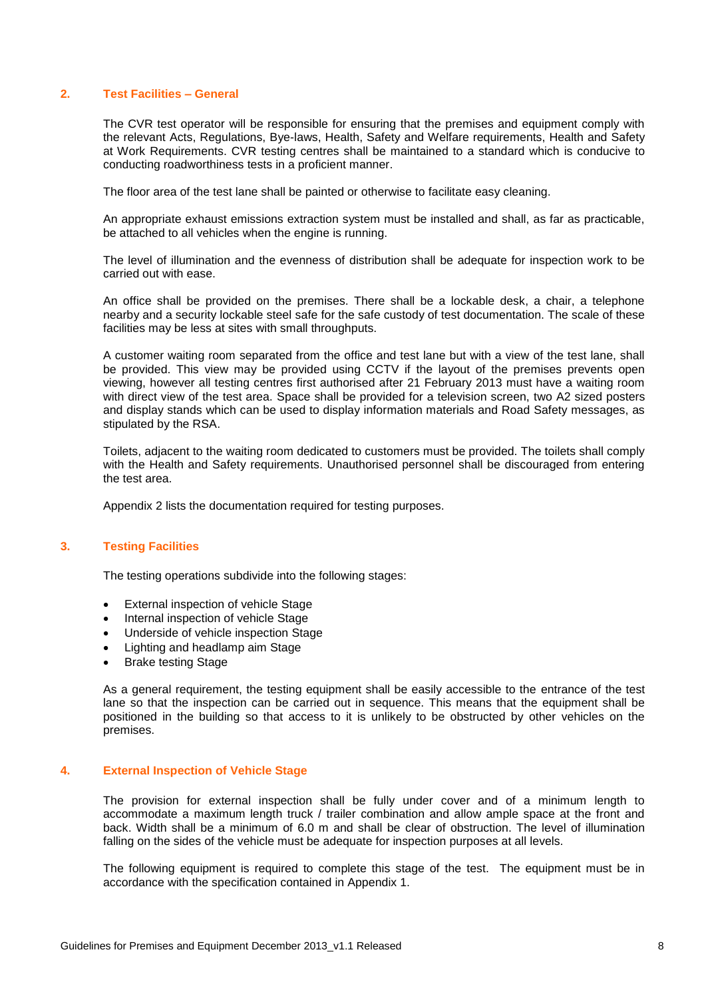#### <span id="page-7-0"></span>**2. Test Facilities – General**

The CVR test operator will be responsible for ensuring that the premises and equipment comply with the relevant Acts, Regulations, Bye-laws, Health, Safety and Welfare requirements, Health and Safety at Work Requirements. CVR testing centres shall be maintained to a standard which is conducive to conducting roadworthiness tests in a proficient manner.

The floor area of the test lane shall be painted or otherwise to facilitate easy cleaning.

An appropriate exhaust emissions extraction system must be installed and shall, as far as practicable, be attached to all vehicles when the engine is running.

The level of illumination and the evenness of distribution shall be adequate for inspection work to be carried out with ease.

An office shall be provided on the premises. There shall be a lockable desk, a chair, a telephone nearby and a security lockable steel safe for the safe custody of test documentation. The scale of these facilities may be less at sites with small throughputs.

A customer waiting room separated from the office and test lane but with a view of the test lane, shall be provided. This view may be provided using CCTV if the layout of the premises prevents open viewing, however all testing centres first authorised after 21 February 2013 must have a waiting room with direct view of the test area. Space shall be provided for a television screen, two A2 sized posters and display stands which can be used to display information materials and Road Safety messages, as stipulated by the RSA.

Toilets, adjacent to the waiting room dedicated to customers must be provided. The toilets shall comply with the Health and Safety requirements. Unauthorised personnel shall be discouraged from entering the test area.

Appendix 2 lists the documentation required for testing purposes.

#### <span id="page-7-1"></span>**3. Testing Facilities**

The testing operations subdivide into the following stages:

- External inspection of vehicle Stage
- Internal inspection of vehicle Stage
- Underside of vehicle inspection Stage
- Lighting and headlamp aim Stage
- Brake testing Stage

As a general requirement, the testing equipment shall be easily accessible to the entrance of the test lane so that the inspection can be carried out in sequence. This means that the equipment shall be positioned in the building so that access to it is unlikely to be obstructed by other vehicles on the premises.

#### <span id="page-7-2"></span>**4. External Inspection of Vehicle Stage**

The provision for external inspection shall be fully under cover and of a minimum length to accommodate a maximum length truck / trailer combination and allow ample space at the front and back. Width shall be a minimum of 6.0 m and shall be clear of obstruction. The level of illumination falling on the sides of the vehicle must be adequate for inspection purposes at all levels.

The following equipment is required to complete this stage of the test. The equipment must be in accordance with the specification contained in Appendix 1.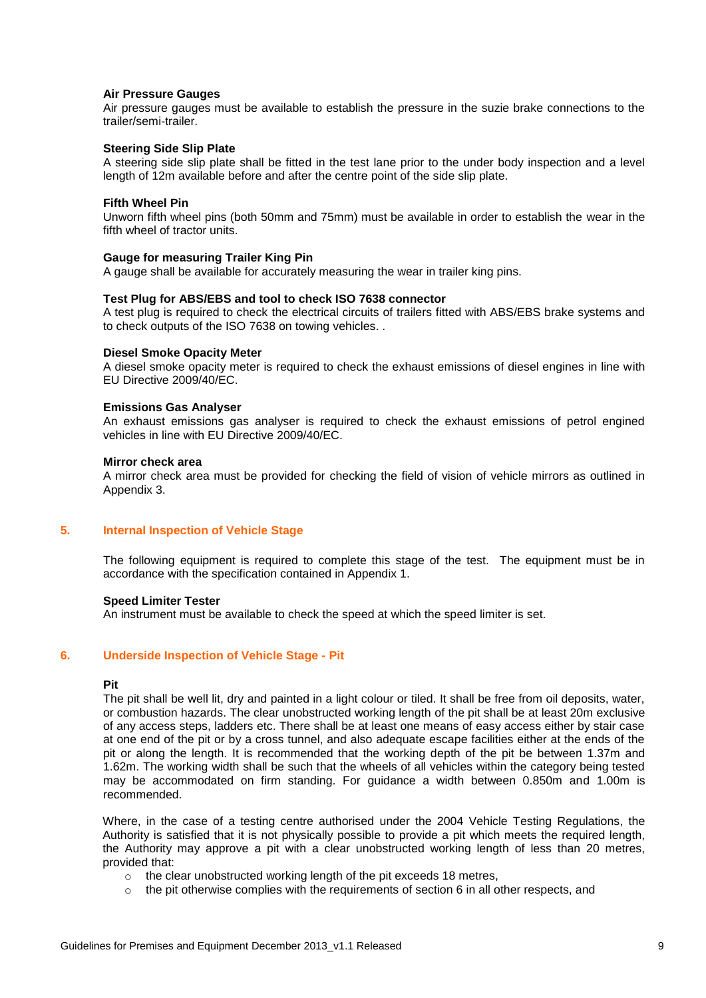#### **Air Pressure Gauges**

Air pressure gauges must be available to establish the pressure in the suzie brake connections to the trailer/semi-trailer.

#### **Steering Side Slip Plate**

A steering side slip plate shall be fitted in the test lane prior to the under body inspection and a level length of 12m available before and after the centre point of the side slip plate.

#### **Fifth Wheel Pin**

Unworn fifth wheel pins (both 50mm and 75mm) must be available in order to establish the wear in the fifth wheel of tractor units.

#### **Gauge for measuring Trailer King Pin**

A gauge shall be available for accurately measuring the wear in trailer king pins.

#### **Test Plug for ABS/EBS and tool to check ISO 7638 connector**

A test plug is required to check the electrical circuits of trailers fitted with ABS/EBS brake systems and to check outputs of the ISO 7638 on towing vehicles. .

#### **Diesel Smoke Opacity Meter**

A diesel smoke opacity meter is required to check the exhaust emissions of diesel engines in line with EU Directive 2009/40/EC.

#### **Emissions Gas Analyser**

An exhaust emissions gas analyser is required to check the exhaust emissions of petrol engined vehicles in line with EU Directive 2009/40/EC.

#### **Mirror check area**

A mirror check area must be provided for checking the field of vision of vehicle mirrors as outlined in Appendix 3.

#### <span id="page-8-0"></span>**5. Internal Inspection of Vehicle Stage**

The following equipment is required to complete this stage of the test. The equipment must be in accordance with the specification contained in Appendix 1.

#### **Speed Limiter Tester**

An instrument must be available to check the speed at which the speed limiter is set.

#### <span id="page-8-1"></span>**6. Underside Inspection of Vehicle Stage - Pit**

#### **Pit**

The pit shall be well lit, dry and painted in a light colour or tiled. It shall be free from oil deposits, water, or combustion hazards. The clear unobstructed working length of the pit shall be at least 20m exclusive of any access steps, ladders etc. There shall be at least one means of easy access either by stair case at one end of the pit or by a cross tunnel, and also adequate escape facilities either at the ends of the pit or along the length. It is recommended that the working depth of the pit be between 1.37m and 1.62m. The working width shall be such that the wheels of all vehicles within the category being tested may be accommodated on firm standing. For guidance a width between 0.850m and 1.00m is recommended.

Where, in the case of a testing centre authorised under the 2004 Vehicle Testing Regulations, the Authority is satisfied that it is not physically possible to provide a pit which meets the required length, the Authority may approve a pit with a clear unobstructed working length of less than 20 metres, provided that:

- $\circ$  the clear unobstructed working length of the pit exceeds 18 metres,
- $\circ$  the pit otherwise complies with the requirements of section 6 in all other respects, and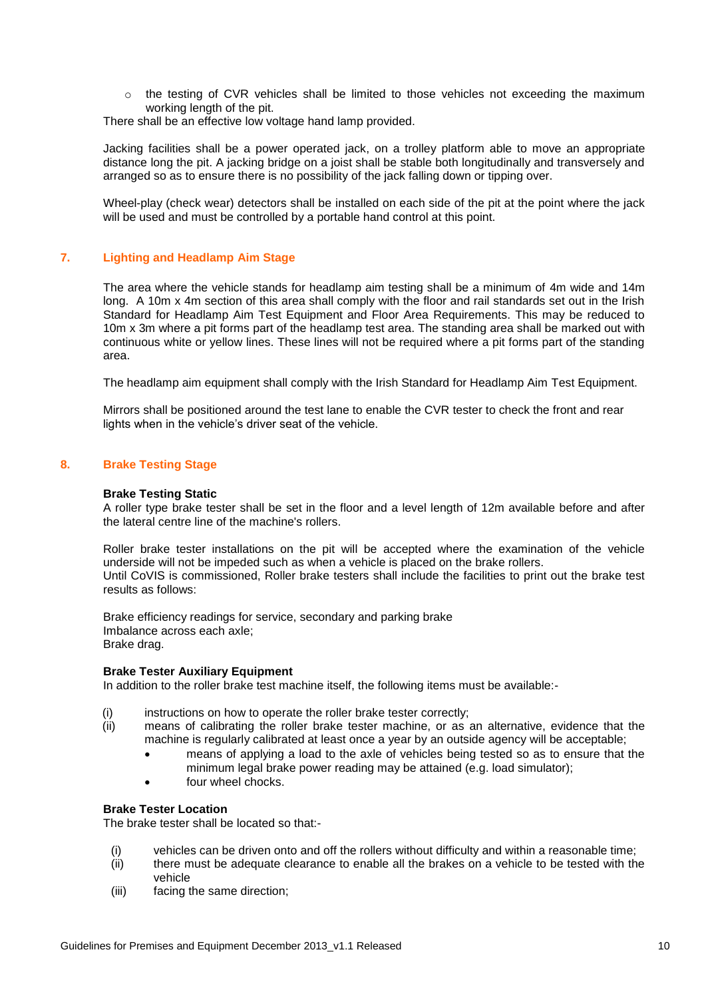o the testing of CVR vehicles shall be limited to those vehicles not exceeding the maximum working length of the pit.

There shall be an effective low voltage hand lamp provided.

Jacking facilities shall be a power operated jack, on a trolley platform able to move an appropriate distance long the pit. A jacking bridge on a joist shall be stable both longitudinally and transversely and arranged so as to ensure there is no possibility of the jack falling down or tipping over.

Wheel-play (check wear) detectors shall be installed on each side of the pit at the point where the jack will be used and must be controlled by a portable hand control at this point.

#### <span id="page-9-0"></span>**7. Lighting and Headlamp Aim Stage**

The area where the vehicle stands for headlamp aim testing shall be a minimum of 4m wide and 14m long. A 10m x 4m section of this area shall comply with the floor and rail standards set out in the Irish Standard for Headlamp Aim Test Equipment and Floor Area Requirements. This may be reduced to 10m x 3m where a pit forms part of the headlamp test area. The standing area shall be marked out with continuous white or yellow lines. These lines will not be required where a pit forms part of the standing area.

The headlamp aim equipment shall comply with the Irish Standard for Headlamp Aim Test Equipment.

Mirrors shall be positioned around the test lane to enable the CVR tester to check the front and rear lights when in the vehicle's driver seat of the vehicle.

#### <span id="page-9-1"></span>**8. Brake Testing Stage**

#### **Brake Testing Static**

A roller type brake tester shall be set in the floor and a level length of 12m available before and after the lateral centre line of the machine's rollers.

Roller brake tester installations on the pit will be accepted where the examination of the vehicle underside will not be impeded such as when a vehicle is placed on the brake rollers. Until CoVIS is commissioned, Roller brake testers shall include the facilities to print out the brake test results as follows:

Brake efficiency readings for service, secondary and parking brake Imbalance across each axle; Brake drag.

#### **Brake Tester Auxiliary Equipment**

In addition to the roller brake test machine itself, the following items must be available:-

- (i) instructions on how to operate the roller brake tester correctly:
- (ii) means of calibrating the roller brake tester machine, or as an alternative, evidence that the machine is regularly calibrated at least once a year by an outside agency will be acceptable;
	- means of applying a load to the axle of vehicles being tested so as to ensure that the minimum legal brake power reading may be attained (e.g. load simulator);
	- four wheel chocks.

#### **Brake Tester Location**

The brake tester shall be located so that:-

- (i) vehicles can be driven onto and off the rollers without difficulty and within a reasonable time;
- (ii) there must be adequate clearance to enable all the brakes on a vehicle to be tested with the vehicle
- (iii) facing the same direction;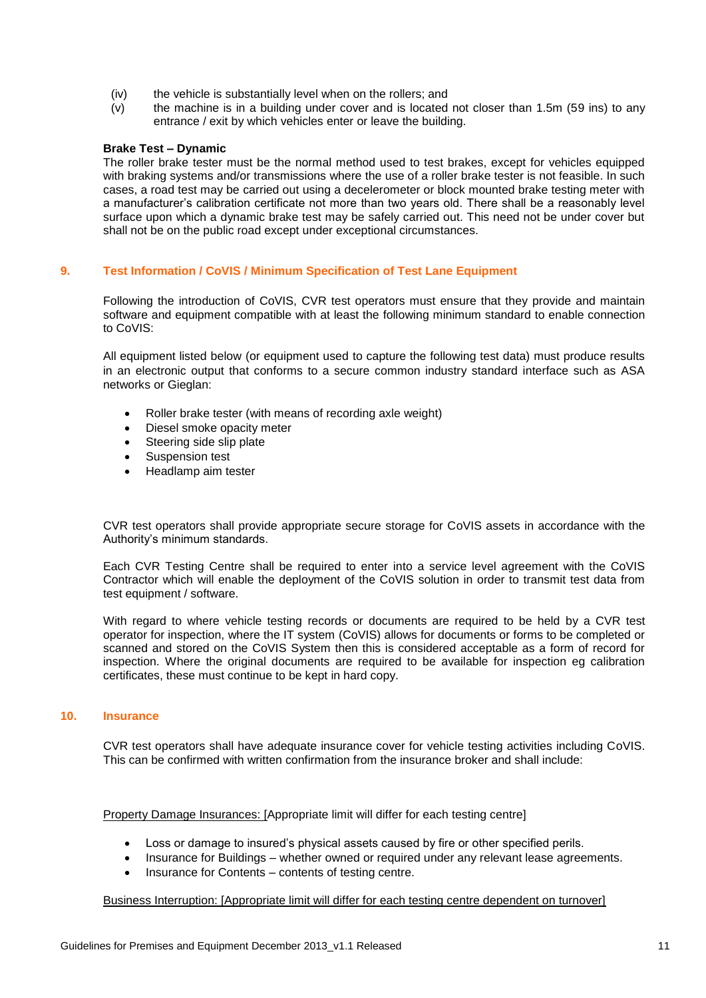- (iv) the vehicle is substantially level when on the rollers; and
- (v) the machine is in a building under cover and is located not closer than 1.5m (59 ins) to any entrance / exit by which vehicles enter or leave the building.

#### **Brake Test – Dynamic**

The roller brake tester must be the normal method used to test brakes, except for vehicles equipped with braking systems and/or transmissions where the use of a roller brake tester is not feasible. In such cases, a road test may be carried out using a decelerometer or block mounted brake testing meter with a manufacturer's calibration certificate not more than two years old. There shall be a reasonably level surface upon which a dynamic brake test may be safely carried out. This need not be under cover but shall not be on the public road except under exceptional circumstances.

#### <span id="page-10-0"></span>**9. Test Information / CoVIS / Minimum Specification of Test Lane Equipment**

Following the introduction of CoVIS, CVR test operators must ensure that they provide and maintain software and equipment compatible with at least the following minimum standard to enable connection to CoVIS:

All equipment listed below (or equipment used to capture the following test data) must produce results in an electronic output that conforms to a secure common industry standard interface such as ASA networks or Gieglan:

- Roller brake tester (with means of recording axle weight)
- Diesel smoke opacity meter
- Steering side slip plate
- Suspension test
- Headlamp aim tester

CVR test operators shall provide appropriate secure storage for CoVIS assets in accordance with the Authority's minimum standards.

Each CVR Testing Centre shall be required to enter into a service level agreement with the CoVIS Contractor which will enable the deployment of the CoVIS solution in order to transmit test data from test equipment / software.

With regard to where vehicle testing records or documents are required to be held by a CVR test operator for inspection, where the IT system (CoVIS) allows for documents or forms to be completed or scanned and stored on the CoVIS System then this is considered acceptable as a form of record for inspection. Where the original documents are required to be available for inspection eg calibration certificates, these must continue to be kept in hard copy.

#### <span id="page-10-1"></span>**10. Insurance**

CVR test operators shall have adequate insurance cover for vehicle testing activities including CoVIS. This can be confirmed with written confirmation from the insurance broker and shall include:

Property Damage Insurances: [Appropriate limit will differ for each testing centre]

- Loss or damage to insured's physical assets caused by fire or other specified perils.
- Insurance for Buildings whether owned or required under any relevant lease agreements.
- Insurance for Contents contents of testing centre.

#### Business Interruption: [Appropriate limit will differ for each testing centre dependent on turnover]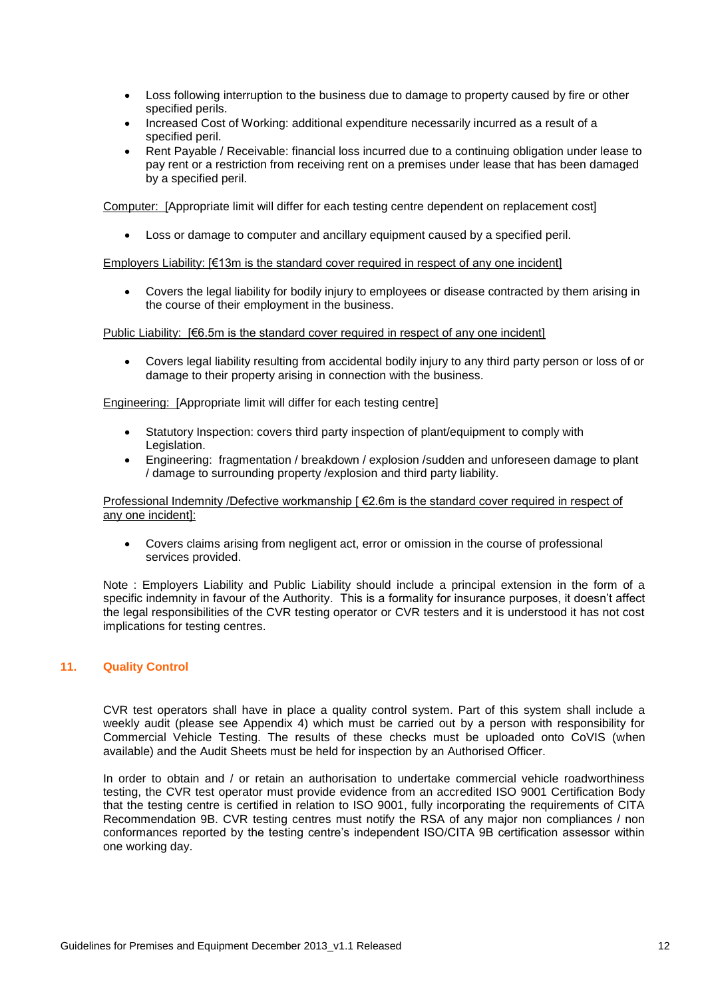- Loss following interruption to the business due to damage to property caused by fire or other specified perils.
- Increased Cost of Working: additional expenditure necessarily incurred as a result of a specified peril.
- Rent Payable / Receivable: financial loss incurred due to a continuing obligation under lease to pay rent or a restriction from receiving rent on a premises under lease that has been damaged by a specified peril.

Computer: [Appropriate limit will differ for each testing centre dependent on replacement cost]

Loss or damage to computer and ancillary equipment caused by a specified peril.

Employers Liability: [€13m is the standard cover required in respect of any one incident]

 Covers the legal liability for bodily injury to employees or disease contracted by them arising in the course of their employment in the business.

Public Liability: [€6.5m is the standard cover required in respect of any one incident]

 Covers legal liability resulting from accidental bodily injury to any third party person or loss of or damage to their property arising in connection with the business.

Engineering: [Appropriate limit will differ for each testing centre]

- Statutory Inspection: covers third party inspection of plant/equipment to comply with Legislation.
- Engineering: fragmentation / breakdown / explosion /sudden and unforeseen damage to plant / damage to surrounding property /explosion and third party liability.

#### Professional Indemnity /Defective workmanship [ €2.6m is the standard cover required in respect of any one incident]:

 Covers claims arising from negligent act, error or omission in the course of professional services provided.

Note : Employers Liability and Public Liability should include a principal extension in the form of a specific indemnity in favour of the Authority. This is a formality for insurance purposes, it doesn't affect the legal responsibilities of the CVR testing operator or CVR testers and it is understood it has not cost implications for testing centres.

#### <span id="page-11-0"></span>**11. Quality Control**

CVR test operators shall have in place a quality control system. Part of this system shall include a weekly audit (please see Appendix 4) which must be carried out by a person with responsibility for Commercial Vehicle Testing. The results of these checks must be uploaded onto CoVIS (when available) and the Audit Sheets must be held for inspection by an Authorised Officer.

In order to obtain and / or retain an authorisation to undertake commercial vehicle roadworthiness testing, the CVR test operator must provide evidence from an accredited ISO 9001 Certification Body that the testing centre is certified in relation to ISO 9001, fully incorporating the requirements of CITA Recommendation 9B. CVR testing centres must notify the RSA of any major non compliances / non conformances reported by the testing centre's independent ISO/CITA 9B certification assessor within one working day.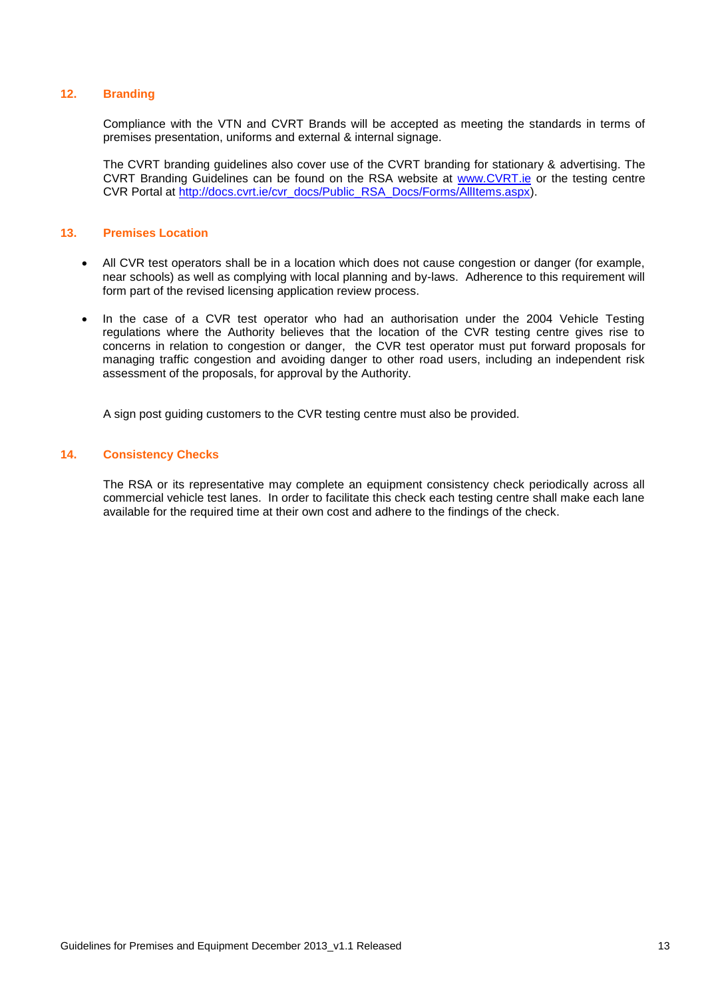#### <span id="page-12-0"></span>**12. Branding**

Compliance with the VTN and CVRT Brands will be accepted as meeting the standards in terms of premises presentation, uniforms and external & internal signage.

The CVRT branding guidelines also cover use of the CVRT branding for stationary & advertising. The CVRT Branding Guidelines can be found on the RSA website at [www.CVRT.ie](http://www.cvrt.ie/) or the testing centre CVR Portal at [http://docs.cvrt.ie/cvr\\_docs/Public\\_RSA\\_Docs/Forms/AllItems.aspx\)](http://docs.cvrt.ie/cvr_docs/Public_RSA_Docs/Forms/AllItems.aspx).

#### <span id="page-12-1"></span>**13. Premises Location**

- All CVR test operators shall be in a location which does not cause congestion or danger (for example, near schools) as well as complying with local planning and by-laws. Adherence to this requirement will form part of the revised licensing application review process.
- In the case of a CVR test operator who had an authorisation under the 2004 Vehicle Testing regulations where the Authority believes that the location of the CVR testing centre gives rise to concerns in relation to congestion or danger, the CVR test operator must put forward proposals for managing traffic congestion and avoiding danger to other road users, including an independent risk assessment of the proposals, for approval by the Authority.

A sign post guiding customers to the CVR testing centre must also be provided.

#### <span id="page-12-2"></span>**14. Consistency Checks**

The RSA or its representative may complete an equipment consistency check periodically across all commercial vehicle test lanes. In order to facilitate this check each testing centre shall make each lane available for the required time at their own cost and adhere to the findings of the check.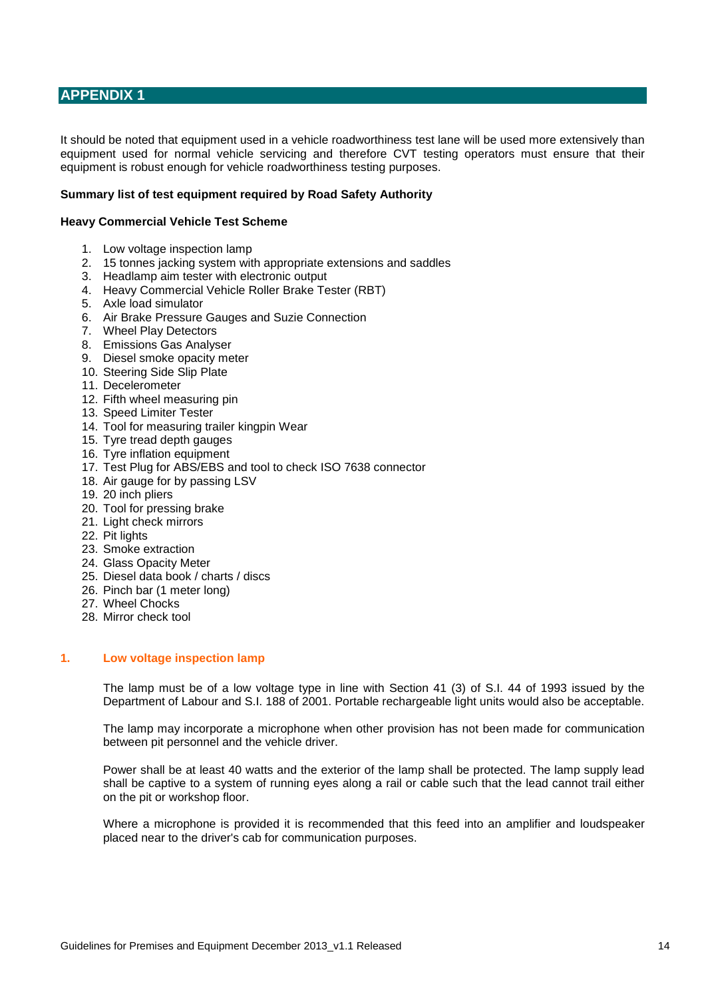## <span id="page-13-0"></span>**APPENDIX 1**

It should be noted that equipment used in a vehicle roadworthiness test lane will be used more extensively than equipment used for normal vehicle servicing and therefore CVT testing operators must ensure that their equipment is robust enough for vehicle roadworthiness testing purposes.

#### **Summary list of test equipment required by Road Safety Authority**

#### **Heavy Commercial Vehicle Test Scheme**

- 1. Low voltage inspection lamp
- 2. 15 tonnes jacking system with appropriate extensions and saddles
- 3. Headlamp aim tester with electronic output
- 4. Heavy Commercial Vehicle Roller Brake Tester (RBT)
- 5. Axle load simulator
- 6. Air Brake Pressure Gauges and Suzie Connection
- 7. Wheel Play Detectors
- 8. Emissions Gas Analyser
- 9. Diesel smoke opacity meter
- 10. Steering Side Slip Plate
- 11. Decelerometer
- 12. Fifth wheel measuring pin
- 13. Speed Limiter Tester
- 14. Tool for measuring trailer kingpin Wear
- 15. Tyre tread depth gauges
- 16. Tyre inflation equipment
- 17. Test Plug for ABS/EBS and tool to check ISO 7638 connector
- 18. Air gauge for by passing LSV
- 19. 20 inch pliers
- 20. Tool for pressing brake
- 21. Light check mirrors
- 22. Pit lights
- 23. Smoke extraction
- 24. Glass Opacity Meter
- 25. Diesel data book / charts / discs
- 26. Pinch bar (1 meter long)
- 27. Wheel Chocks
- 28. Mirror check tool

#### <span id="page-13-1"></span>**1. Low voltage inspection lamp**

The lamp must be of a low voltage type in line with Section 41 (3) of S.I. 44 of 1993 issued by the Department of Labour and S.I. 188 of 2001. Portable rechargeable light units would also be acceptable.

The lamp may incorporate a microphone when other provision has not been made for communication between pit personnel and the vehicle driver.

Power shall be at least 40 watts and the exterior of the lamp shall be protected. The lamp supply lead shall be captive to a system of running eyes along a rail or cable such that the lead cannot trail either on the pit or workshop floor.

Where a microphone is provided it is recommended that this feed into an amplifier and loudspeaker placed near to the driver's cab for communication purposes.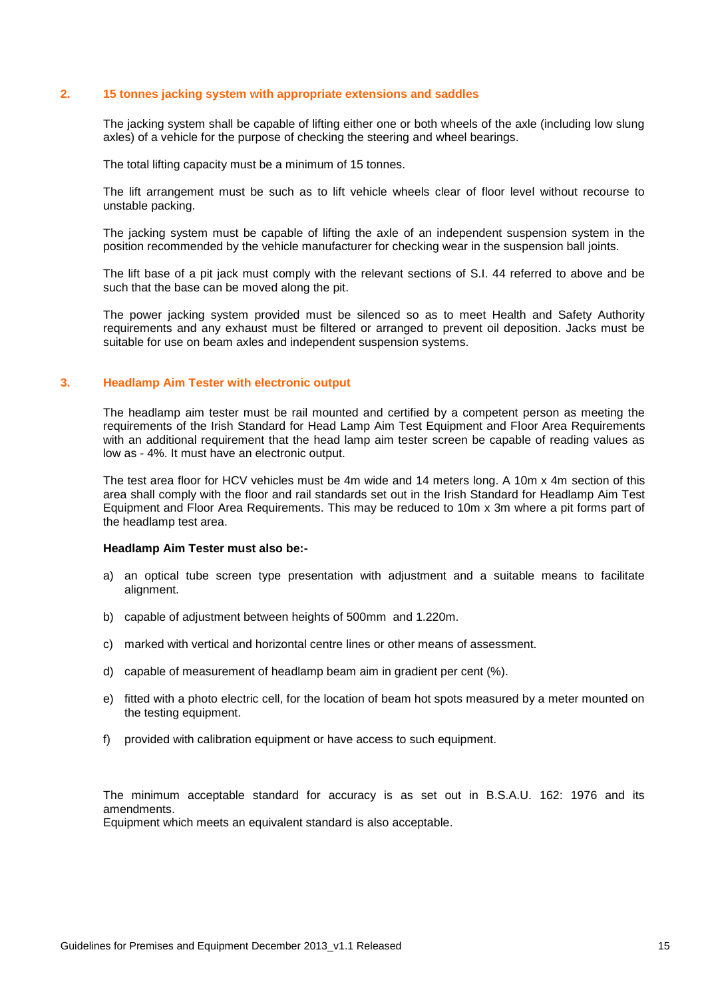#### <span id="page-14-0"></span>**2. 15 tonnes jacking system with appropriate extensions and saddles**

The jacking system shall be capable of lifting either one or both wheels of the axle (including low slung axles) of a vehicle for the purpose of checking the steering and wheel bearings.

The total lifting capacity must be a minimum of 15 tonnes.

The lift arrangement must be such as to lift vehicle wheels clear of floor level without recourse to unstable packing.

The jacking system must be capable of lifting the axle of an independent suspension system in the position recommended by the vehicle manufacturer for checking wear in the suspension ball joints.

The lift base of a pit jack must comply with the relevant sections of S.I. 44 referred to above and be such that the base can be moved along the pit.

The power jacking system provided must be silenced so as to meet Health and Safety Authority requirements and any exhaust must be filtered or arranged to prevent oil deposition. Jacks must be suitable for use on beam axles and independent suspension systems.

#### <span id="page-14-1"></span>**3. Headlamp Aim Tester with electronic output**

The headlamp aim tester must be rail mounted and certified by a competent person as meeting the requirements of the Irish Standard for Head Lamp Aim Test Equipment and Floor Area Requirements with an additional requirement that the head lamp aim tester screen be capable of reading values as low as - 4%. It must have an electronic output.

The test area floor for HCV vehicles must be 4m wide and 14 meters long. A 10m x 4m section of this area shall comply with the floor and rail standards set out in the Irish Standard for Headlamp Aim Test Equipment and Floor Area Requirements. This may be reduced to 10m x 3m where a pit forms part of the headlamp test area.

#### **Headlamp Aim Tester must also be:-**

- a) an optical tube screen type presentation with adjustment and a suitable means to facilitate alignment.
- b) capable of adjustment between heights of 500mm and 1.220m.
- c) marked with vertical and horizontal centre lines or other means of assessment.
- d) capable of measurement of headlamp beam aim in gradient per cent (%).
- e) fitted with a photo electric cell, for the location of beam hot spots measured by a meter mounted on the testing equipment.
- f) provided with calibration equipment or have access to such equipment.

The minimum acceptable standard for accuracy is as set out in B.S.A.U. 162: 1976 and its amendments. Equipment which meets an equivalent standard is also acceptable.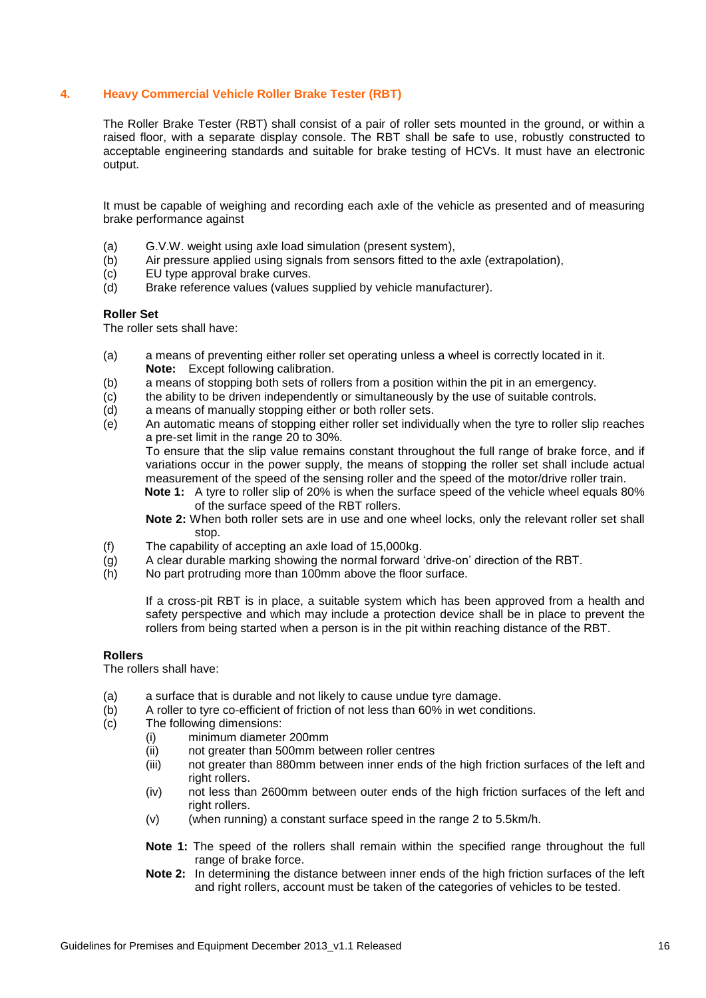#### <span id="page-15-0"></span>**4. Heavy Commercial Vehicle Roller Brake Tester (RBT)**

The Roller Brake Tester (RBT) shall consist of a pair of roller sets mounted in the ground, or within a raised floor, with a separate display console. The RBT shall be safe to use, robustly constructed to acceptable engineering standards and suitable for brake testing of HCVs. It must have an electronic output.

It must be capable of weighing and recording each axle of the vehicle as presented and of measuring brake performance against

- (a) G.V.W. weight using axle load simulation (present system),
- (b) Air pressure applied using signals from sensors fitted to the axle (extrapolation),
- (c) EU type approval brake curves.
- (d) Brake reference values (values supplied by vehicle manufacturer).

#### **Roller Set**

The roller sets shall have:

- (a) a means of preventing either roller set operating unless a wheel is correctly located in it. **Note:** Except following calibration.
- (b) a means of stopping both sets of rollers from a position within the pit in an emergency.
- (c) the ability to be driven independently or simultaneously by the use of suitable controls.<br>(d) a means of manually stopping either or both roller sets.
- a means of manually stopping either or both roller sets.
- (e) An automatic means of stopping either roller set individually when the tyre to roller slip reaches a pre-set limit in the range 20 to 30%.

To ensure that the slip value remains constant throughout the full range of brake force, and if variations occur in the power supply, the means of stopping the roller set shall include actual measurement of the speed of the sensing roller and the speed of the motor/drive roller train.

**Note 1:** A tyre to roller slip of 20% is when the surface speed of the vehicle wheel equals 80% of the surface speed of the RBT rollers.

**Note 2:** When both roller sets are in use and one wheel locks, only the relevant roller set shall stop.

- (f) The capability of accepting an axle load of 15,000kg.
- (g) A clear durable marking showing the normal forward 'drive-on' direction of the RBT.
- (h) No part protruding more than 100mm above the floor surface.

If a cross-pit RBT is in place, a suitable system which has been approved from a health and safety perspective and which may include a protection device shall be in place to prevent the rollers from being started when a person is in the pit within reaching distance of the RBT.

#### **Rollers**

The rollers shall have:

- (a) a surface that is durable and not likely to cause undue tyre damage.
- $\overline{b}$  A roller to tyre co-efficient of friction of not less than 60% in wet conditions.<br>  $\overline{b}$  The following dimensions:
- The following dimensions:
	- (i) minimum diameter 200mm
	- (ii) not greater than 500mm between roller centres
	- (iii) not greater than 880mm between inner ends of the high friction surfaces of the left and right rollers.
	- (iv) not less than 2600mm between outer ends of the high friction surfaces of the left and right rollers.
	- $(v)$  (when running) a constant surface speed in the range 2 to 5.5km/h.
	- **Note 1:** The speed of the rollers shall remain within the specified range throughout the full range of brake force.
	- **Note 2:** In determining the distance between inner ends of the high friction surfaces of the left and right rollers, account must be taken of the categories of vehicles to be tested.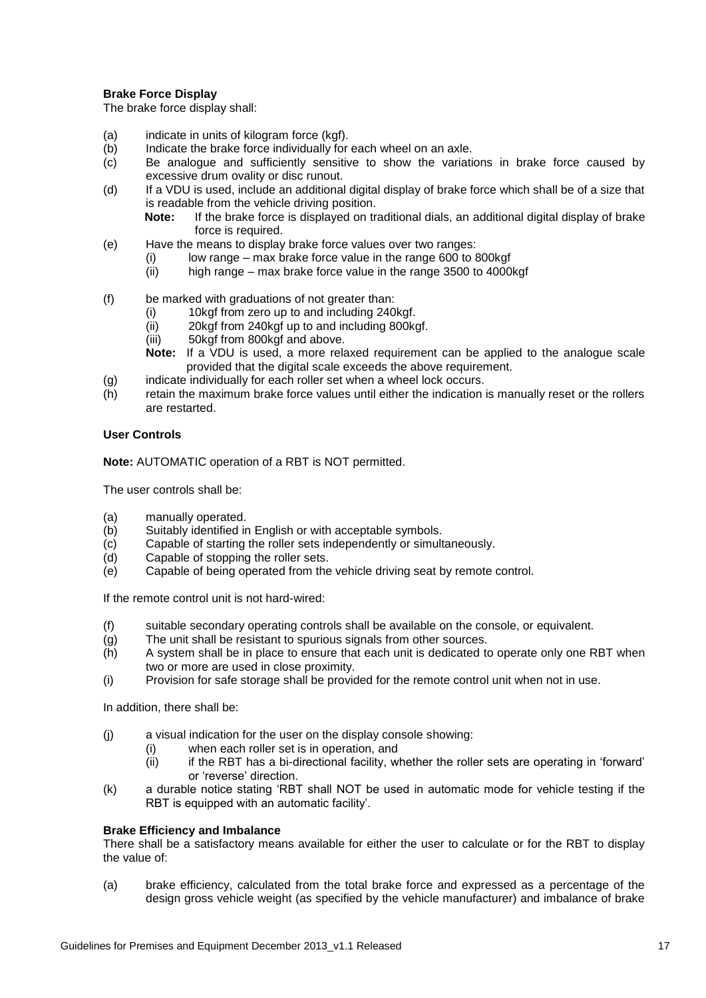#### **Brake Force Display**

The brake force display shall:

- (a) indicate in units of kilogram force (kgf).
- (b) Indicate the brake force individually for each wheel on an axle.
- (c) Be analogue and sufficiently sensitive to show the variations in brake force caused by excessive drum ovality or disc runout.
- (d) If a VDU is used, include an additional digital display of brake force which shall be of a size that is readable from the vehicle driving position.
	- **Note:** If the brake force is displayed on traditional dials, an additional digital display of brake force is required.
- (e) Have the means to display brake force values over two ranges:
	- (i) low range max brake force value in the range 600 to 800kgf<br>(ii) high range max brake force value in the range 3500 to 4000
		- high range max brake force value in the range 3500 to 4000kgf
- (f) be marked with graduations of not greater than:
	- (i) 10kgf from zero up to and including 240kgf.
	- (ii) 20kgf from 240kgf up to and including 800kgf.
	- (iii) 50kgf from 800kgf and above.
	- **Note:** If a VDU is used, a more relaxed requirement can be applied to the analogue scale provided that the digital scale exceeds the above requirement.
- (g) indicate individually for each roller set when a wheel lock occurs.
- (h) retain the maximum brake force values until either the indication is manually reset or the rollers are restarted.

### **User Controls**

**Note:** AUTOMATIC operation of a RBT is NOT permitted.

The user controls shall be:

- (a) manually operated.
- (b) Suitably identified in English or with acceptable symbols.
- (c) Capable of starting the roller sets independently or simultaneously.
- (d) Capable of stopping the roller sets.
- (e) Capable of being operated from the vehicle driving seat by remote control.

If the remote control unit is not hard-wired:

- (f) suitable secondary operating controls shall be available on the console, or equivalent.
- (g) The unit shall be resistant to spurious signals from other sources.
- (h) A system shall be in place to ensure that each unit is dedicated to operate only one RBT when two or more are used in close proximity.
- (i) Provision for safe storage shall be provided for the remote control unit when not in use.

In addition, there shall be:

- (j) a visual indication for the user on the display console showing:
	- (i) when each roller set is in operation, and
	- $(iii)$  if the RBT has a bi-directional facility, whether the roller sets are operating in 'forward' or 'reverse' direction.
- (k) a durable notice stating 'RBT shall NOT be used in automatic mode for vehicle testing if the RBT is equipped with an automatic facility'.

#### **Brake Efficiency and Imbalance**

There shall be a satisfactory means available for either the user to calculate or for the RBT to display the value of:

(a) brake efficiency, calculated from the total brake force and expressed as a percentage of the design gross vehicle weight (as specified by the vehicle manufacturer) and imbalance of brake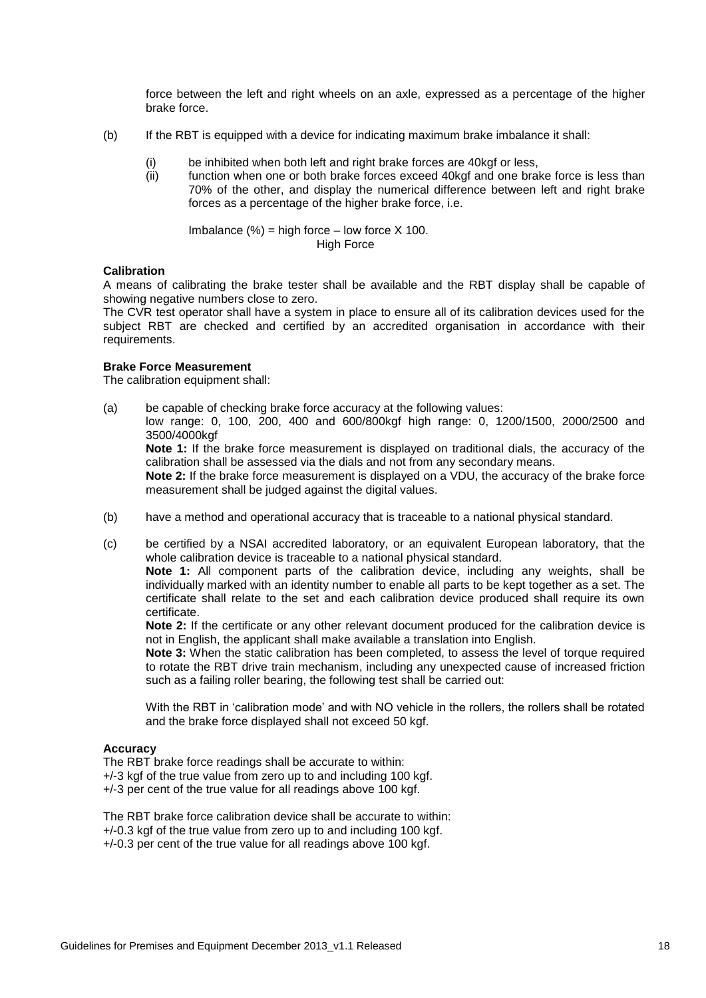force between the left and right wheels on an axle, expressed as a percentage of the higher brake force.

- (b) If the RBT is equipped with a device for indicating maximum brake imbalance it shall:
	- (i) be inhibited when both left and right brake forces are 40kgf or less,
	- (ii) function when one or both brake forces exceed 40kgf and one brake force is less than 70% of the other, and display the numerical difference between left and right brake forces as a percentage of the higher brake force, i.e.

Imbalance  $(\%)$  = high force – low force X 100. High Force

#### **Calibration**

A means of calibrating the brake tester shall be available and the RBT display shall be capable of showing negative numbers close to zero.

The CVR test operator shall have a system in place to ensure all of its calibration devices used for the subject RBT are checked and certified by an accredited organisation in accordance with their requirements.

#### **Brake Force Measurement**

The calibration equipment shall:

- (a) be capable of checking brake force accuracy at the following values: low range: 0, 100, 200, 400 and 600/800kgf high range: 0, 1200/1500, 2000/2500 and 3500/4000kgf **Note 1:** If the brake force measurement is displayed on traditional dials, the accuracy of the calibration shall be assessed via the dials and not from any secondary means. **Note 2:** If the brake force measurement is displayed on a VDU, the accuracy of the brake force measurement shall be judged against the digital values.
- (b) have a method and operational accuracy that is traceable to a national physical standard.
- (c) be certified by a NSAI accredited laboratory, or an equivalent European laboratory, that the whole calibration device is traceable to a national physical standard.

**Note 1:** All component parts of the calibration device, including any weights, shall be individually marked with an identity number to enable all parts to be kept together as a set. The certificate shall relate to the set and each calibration device produced shall require its own certificate.

**Note 2:** If the certificate or any other relevant document produced for the calibration device is not in English, the applicant shall make available a translation into English.

**Note 3:** When the static calibration has been completed, to assess the level of torque required to rotate the RBT drive train mechanism, including any unexpected cause of increased friction such as a failing roller bearing, the following test shall be carried out:

With the RBT in 'calibration mode' and with NO vehicle in the rollers, the rollers shall be rotated and the brake force displayed shall not exceed 50 kgf.

#### **Accuracy**

The RBT brake force readings shall be accurate to within: +/-3 kgf of the true value from zero up to and including 100 kgf. +/-3 per cent of the true value for all readings above 100 kgf.

The RBT brake force calibration device shall be accurate to within: +/-0.3 kgf of the true value from zero up to and including 100 kgf. +/-0.3 per cent of the true value for all readings above 100 kgf.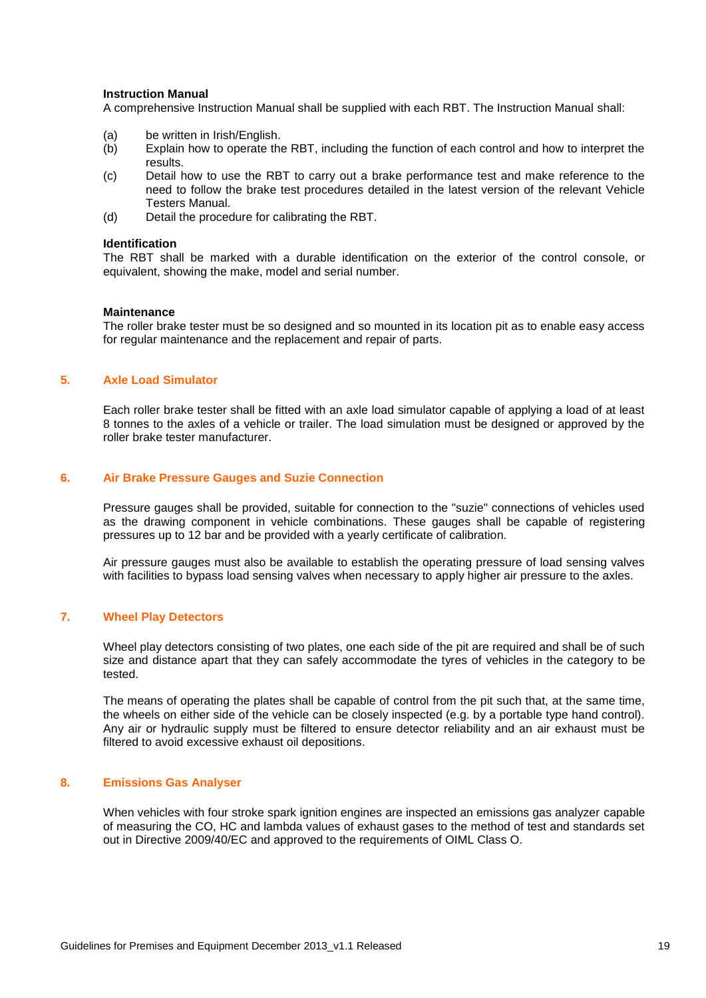#### **Instruction Manual**

A comprehensive Instruction Manual shall be supplied with each RBT. The Instruction Manual shall:

- (a) be written in Irish/English.
- (b) Explain how to operate the RBT, including the function of each control and how to interpret the results.
- (c) Detail how to use the RBT to carry out a brake performance test and make reference to the need to follow the brake test procedures detailed in the latest version of the relevant Vehicle Testers Manual.
- (d) Detail the procedure for calibrating the RBT.

#### **Identification**

The RBT shall be marked with a durable identification on the exterior of the control console, or equivalent, showing the make, model and serial number.

#### **Maintenance**

The roller brake tester must be so designed and so mounted in its location pit as to enable easy access for regular maintenance and the replacement and repair of parts.

#### <span id="page-18-0"></span>**5. Axle Load Simulator**

Each roller brake tester shall be fitted with an axle load simulator capable of applying a load of at least 8 tonnes to the axles of a vehicle or trailer. The load simulation must be designed or approved by the roller brake tester manufacturer.

#### <span id="page-18-1"></span>**6. Air Brake Pressure Gauges and Suzie Connection**

Pressure gauges shall be provided, suitable for connection to the "suzie" connections of vehicles used as the drawing component in vehicle combinations. These gauges shall be capable of registering pressures up to 12 bar and be provided with a yearly certificate of calibration.

Air pressure gauges must also be available to establish the operating pressure of load sensing valves with facilities to bypass load sensing valves when necessary to apply higher air pressure to the axles.

#### <span id="page-18-2"></span>**7. Wheel Play Detectors**

Wheel play detectors consisting of two plates, one each side of the pit are required and shall be of such size and distance apart that they can safely accommodate the tyres of vehicles in the category to be tested.

The means of operating the plates shall be capable of control from the pit such that, at the same time, the wheels on either side of the vehicle can be closely inspected (e.g. by a portable type hand control). Any air or hydraulic supply must be filtered to ensure detector reliability and an air exhaust must be filtered to avoid excessive exhaust oil depositions.

#### <span id="page-18-3"></span>**8. Emissions Gas Analyser**

When vehicles with four stroke spark ignition engines are inspected an emissions gas analyzer capable of measuring the CO, HC and lambda values of exhaust gases to the method of test and standards set out in Directive 2009/40/EC and approved to the requirements of OIML Class O.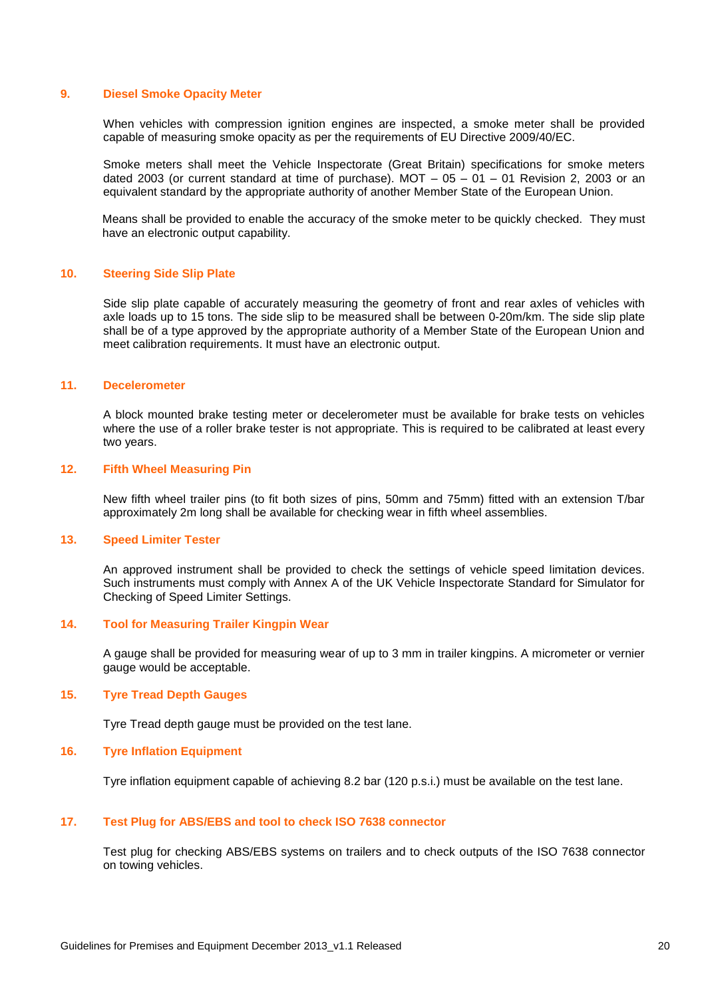#### <span id="page-19-0"></span>**9. Diesel Smoke Opacity Meter**

When vehicles with compression ignition engines are inspected, a smoke meter shall be provided capable of measuring smoke opacity as per the requirements of EU Directive 2009/40/EC.

Smoke meters shall meet the Vehicle Inspectorate (Great Britain) specifications for smoke meters dated 2003 (or current standard at time of purchase). MOT  $-$  05  $-$  01  $-$  01 Revision 2, 2003 or an equivalent standard by the appropriate authority of another Member State of the European Union.

Means shall be provided to enable the accuracy of the smoke meter to be quickly checked. They must have an electronic output capability.

#### <span id="page-19-1"></span>**10. Steering Side Slip Plate**

Side slip plate capable of accurately measuring the geometry of front and rear axles of vehicles with axle loads up to 15 tons. The side slip to be measured shall be between 0-20m/km. The side slip plate shall be of a type approved by the appropriate authority of a Member State of the European Union and meet calibration requirements. It must have an electronic output.

#### <span id="page-19-2"></span>**11. Decelerometer**

A block mounted brake testing meter or decelerometer must be available for brake tests on vehicles where the use of a roller brake tester is not appropriate. This is required to be calibrated at least every two years.

#### <span id="page-19-3"></span>**12. Fifth Wheel Measuring Pin**

New fifth wheel trailer pins (to fit both sizes of pins, 50mm and 75mm) fitted with an extension T/bar approximately 2m long shall be available for checking wear in fifth wheel assemblies.

#### <span id="page-19-4"></span>**13. Speed Limiter Tester**

An approved instrument shall be provided to check the settings of vehicle speed limitation devices. Such instruments must comply with Annex A of the UK Vehicle Inspectorate Standard for Simulator for Checking of Speed Limiter Settings.

#### <span id="page-19-5"></span>**14. Tool for Measuring Trailer Kingpin Wear**

A gauge shall be provided for measuring wear of up to 3 mm in trailer kingpins. A micrometer or vernier gauge would be acceptable.

#### <span id="page-19-6"></span>**15. Tyre Tread Depth Gauges**

Tyre Tread depth gauge must be provided on the test lane.

#### <span id="page-19-7"></span>**16. Tyre Inflation Equipment**

Tyre inflation equipment capable of achieving 8.2 bar (120 p.s.i.) must be available on the test lane.

#### <span id="page-19-8"></span>**17. Test Plug for ABS/EBS and tool to check ISO 7638 connector**

Test plug for checking ABS/EBS systems on trailers and to check outputs of the ISO 7638 connector on towing vehicles.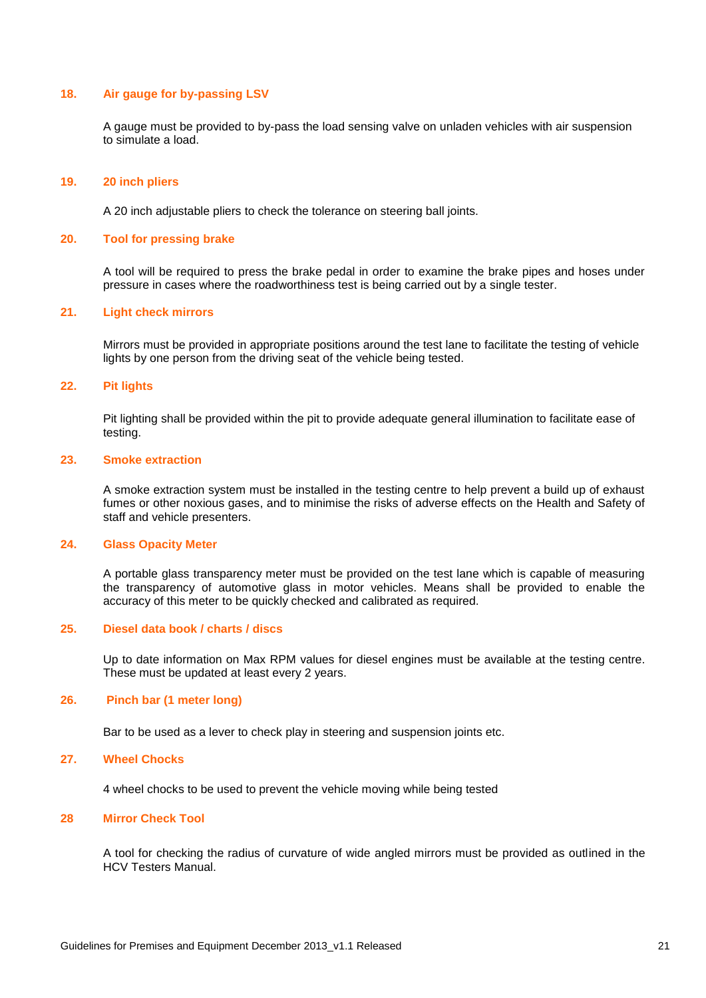#### <span id="page-20-0"></span>**18. Air gauge for by-passing LSV**

A gauge must be provided to by-pass the load sensing valve on unladen vehicles with air suspension to simulate a load.

#### <span id="page-20-1"></span>**19. 20 inch pliers**

A 20 inch adjustable pliers to check the tolerance on steering ball joints.

#### <span id="page-20-2"></span>**20. Tool for pressing brake**

A tool will be required to press the brake pedal in order to examine the brake pipes and hoses under pressure in cases where the roadworthiness test is being carried out by a single tester.

#### <span id="page-20-3"></span>**21. Light check mirrors**

Mirrors must be provided in appropriate positions around the test lane to facilitate the testing of vehicle lights by one person from the driving seat of the vehicle being tested.

#### <span id="page-20-4"></span>**22. Pit lights**

Pit lighting shall be provided within the pit to provide adequate general illumination to facilitate ease of testing.

#### <span id="page-20-5"></span>**23. Smoke extraction**

A smoke extraction system must be installed in the testing centre to help prevent a build up of exhaust fumes or other noxious gases, and to minimise the risks of adverse effects on the Health and Safety of staff and vehicle presenters.

#### <span id="page-20-6"></span>**24. Glass Opacity Meter**

A portable glass transparency meter must be provided on the test lane which is capable of measuring the transparency of automotive glass in motor vehicles. Means shall be provided to enable the accuracy of this meter to be quickly checked and calibrated as required.

#### <span id="page-20-7"></span>**25. Diesel data book / charts / discs**

Up to date information on Max RPM values for diesel engines must be available at the testing centre. These must be updated at least every 2 years.

#### <span id="page-20-8"></span>**26. Pinch bar (1 meter long)**

Bar to be used as a lever to check play in steering and suspension joints etc.

#### <span id="page-20-9"></span>**27. Wheel Chocks**

4 wheel chocks to be used to prevent the vehicle moving while being tested

#### <span id="page-20-10"></span>**28 Mirror Check Tool**

A tool for checking the radius of curvature of wide angled mirrors must be provided as outlined in the HCV Testers Manual.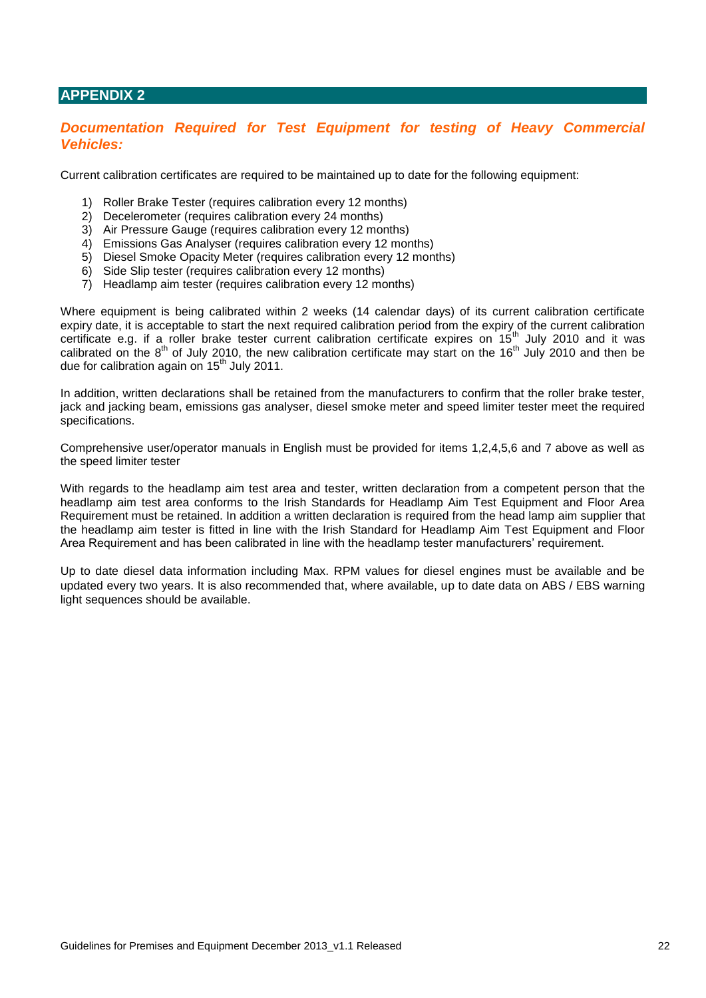## <span id="page-21-0"></span>**APPENDIX 2**

## <span id="page-21-1"></span>**Documentation Required for Test Equipment for testing of Heavy Commercial** *Vehicles:*

Current calibration certificates are required to be maintained up to date for the following equipment:

- 1) Roller Brake Tester (requires calibration every 12 months)
- 2) Decelerometer (requires calibration every 24 months)
- 3) Air Pressure Gauge (requires calibration every 12 months)
- 4) Emissions Gas Analyser (requires calibration every 12 months)
- 5) Diesel Smoke Opacity Meter (requires calibration every 12 months)
- 6) Side Slip tester (requires calibration every 12 months)
- 7) Headlamp aim tester (requires calibration every 12 months)

Where equipment is being calibrated within 2 weeks (14 calendar days) of its current calibration certificate expiry date, it is acceptable to start the next required calibration period from the expiry of the current calibration certificate e.g. if a roller brake tester current calibration certificate expires on 15<sup>th</sup> July 2010 and it was calibrated on the  $8<sup>th</sup>$  of July 2010, the new calibration certificate may start on the 16<sup>th</sup> July 2010 and then be due for calibration again on 15<sup>th</sup> July 2011.

In addition, written declarations shall be retained from the manufacturers to confirm that the roller brake tester, jack and jacking beam, emissions gas analyser, diesel smoke meter and speed limiter tester meet the required specifications.

Comprehensive user/operator manuals in English must be provided for items 1,2,4,5,6 and 7 above as well as the speed limiter tester

With regards to the headlamp aim test area and tester, written declaration from a competent person that the headlamp aim test area conforms to the Irish Standards for Headlamp Aim Test Equipment and Floor Area Requirement must be retained. In addition a written declaration is required from the head lamp aim supplier that the headlamp aim tester is fitted in line with the Irish Standard for Headlamp Aim Test Equipment and Floor Area Requirement and has been calibrated in line with the headlamp tester manufacturers' requirement.

Up to date diesel data information including Max. RPM values for diesel engines must be available and be updated every two years. It is also recommended that, where available, up to date data on ABS / EBS warning light sequences should be available.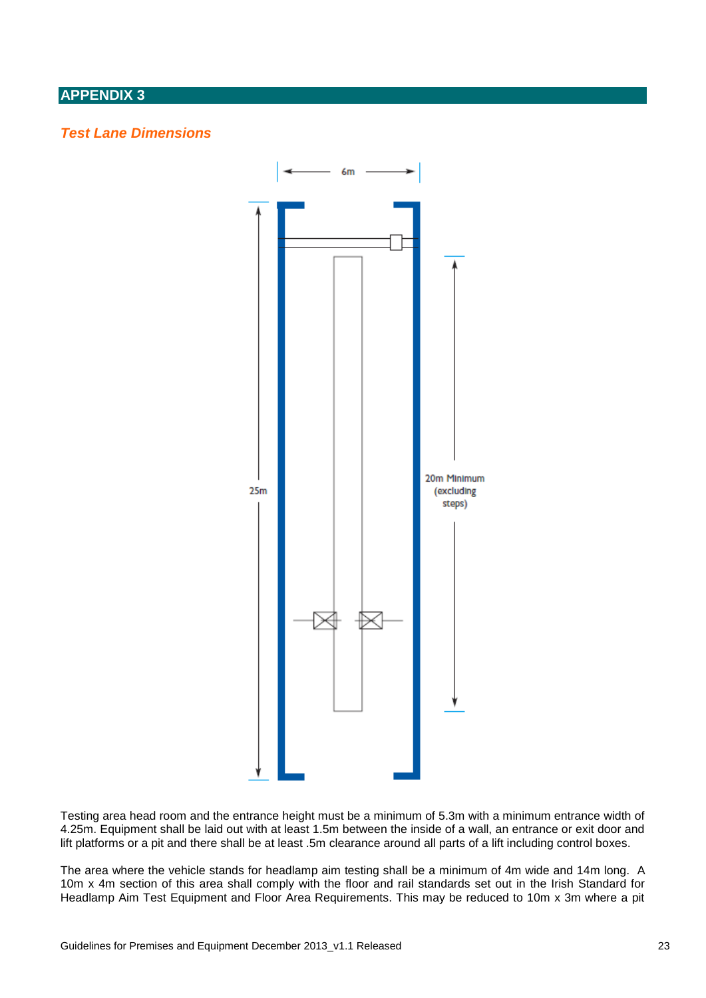## <span id="page-22-0"></span>**APPENDIX 3**

## <span id="page-22-1"></span>*Test Lane Dimensions*



Testing area head room and the entrance height must be a minimum of 5.3m with a minimum entrance width of 4.25m. Equipment shall be laid out with at least 1.5m between the inside of a wall, an entrance or exit door and lift platforms or a pit and there shall be at least .5m clearance around all parts of a lift including control boxes.

The area where the vehicle stands for headlamp aim testing shall be a minimum of 4m wide and 14m long. A 10m x 4m section of this area shall comply with the floor and rail standards set out in the Irish Standard for Headlamp Aim Test Equipment and Floor Area Requirements. This may be reduced to 10m x 3m where a pit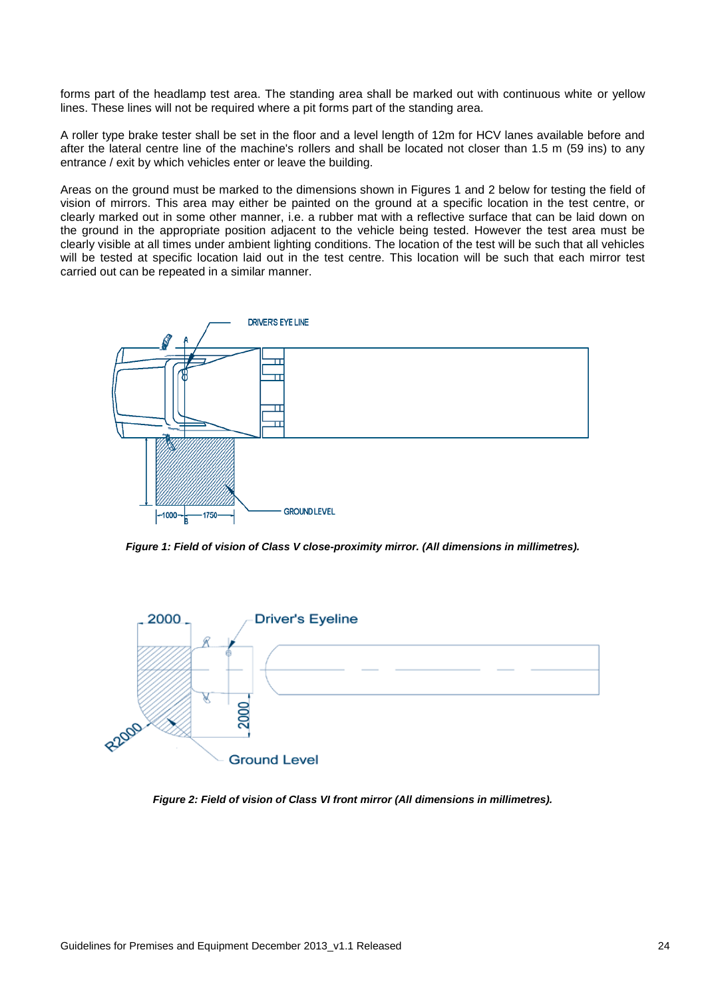forms part of the headlamp test area. The standing area shall be marked out with continuous white or yellow lines. These lines will not be required where a pit forms part of the standing area.

A roller type brake tester shall be set in the floor and a level length of 12m for HCV lanes available before and after the lateral centre line of the machine's rollers and shall be located not closer than 1.5 m (59 ins) to any entrance / exit by which vehicles enter or leave the building.

Areas on the ground must be marked to the dimensions shown in Figures 1 and 2 below for testing the field of vision of mirrors. This area may either be painted on the ground at a specific location in the test centre, or clearly marked out in some other manner, i.e. a rubber mat with a reflective surface that can be laid down on the ground in the appropriate position adjacent to the vehicle being tested. However the test area must be clearly visible at all times under ambient lighting conditions. The location of the test will be such that all vehicles will be tested at specific location laid out in the test centre. This location will be such that each mirror test carried out can be repeated in a similar manner.



*Figure 1: Field of vision of Class V close-proximity mirror. (All dimensions in millimetres).*



*Figure 2: Field of vision of Class VI front mirror (All dimensions in millimetres).*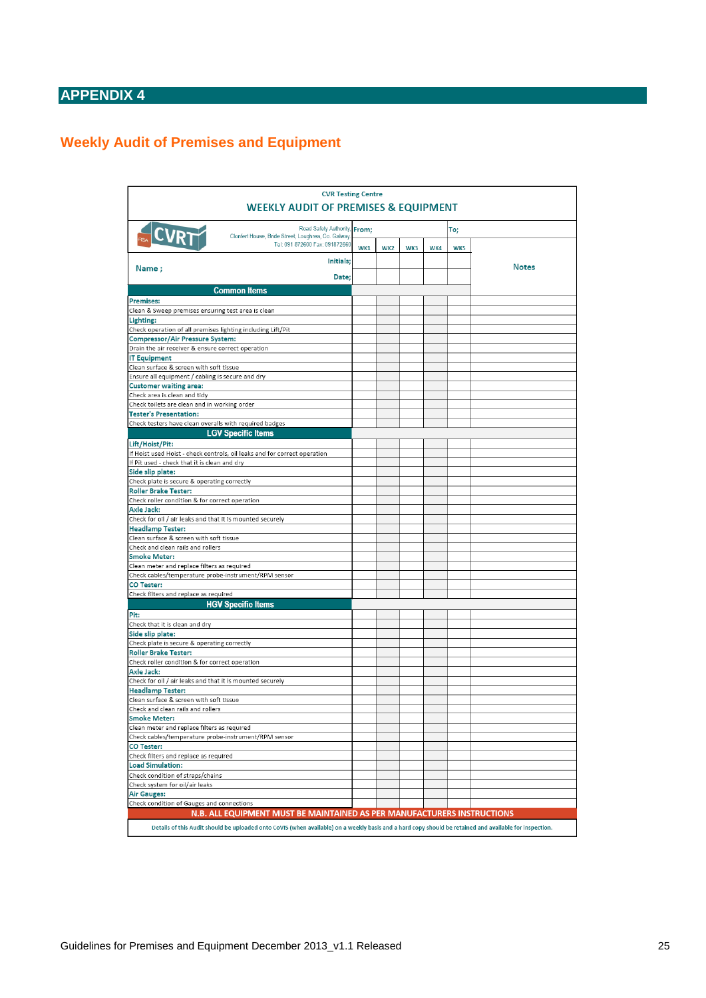## <span id="page-24-0"></span>**APPENDIX 4**

## <span id="page-24-1"></span>**Weekly Audit of Premises and Equipment**

| <b>CVR Testing Centre</b>                                                                                                                               |     |                 |     |     |     |              |  |
|---------------------------------------------------------------------------------------------------------------------------------------------------------|-----|-----------------|-----|-----|-----|--------------|--|
| <b>WEEKLY AUDIT OF PREMISES &amp; EQUIPMENT</b>                                                                                                         |     |                 |     |     |     |              |  |
| Road Safety Authority, From;<br><b>CVRT</b><br>Clonfert House, Bride Street, Loughrea, Co. Galway                                                       |     |                 |     |     | To; |              |  |
| Tel: 091 872600 Fax: 091872660                                                                                                                          | WK1 | WK <sub>2</sub> | WK3 | WK4 | WK5 |              |  |
| Initials:<br>Name;                                                                                                                                      |     |                 |     |     |     | <b>Notes</b> |  |
| Date:                                                                                                                                                   |     |                 |     |     |     |              |  |
| <b>Common Items</b>                                                                                                                                     |     |                 |     |     |     |              |  |
| <b>Premises:</b>                                                                                                                                        |     |                 |     |     |     |              |  |
| Clean & Sweep premises ensuring test area is clean                                                                                                      |     |                 |     |     |     |              |  |
| Lighting:                                                                                                                                               |     |                 |     |     |     |              |  |
| Check operation of all premises lighting including Lift/Pit<br><b>Compressor/Air Pressure System:</b>                                                   |     |                 |     |     |     |              |  |
| Drain the air receiver & ensure correct operation                                                                                                       |     |                 |     |     |     |              |  |
| <b>IT Equipment</b>                                                                                                                                     |     |                 |     |     |     |              |  |
| Clean surface & screen with soft tissue                                                                                                                 |     |                 |     |     |     |              |  |
| Ensure all equipment / cabling is secure and dry                                                                                                        |     |                 |     |     |     |              |  |
| <b>Customer waiting area:</b>                                                                                                                           |     |                 |     |     |     |              |  |
| Check area is clean and tidy<br>Check toilets are clean and in working order                                                                            |     |                 |     |     |     |              |  |
| <b>Tester's Presentation:</b>                                                                                                                           |     |                 |     |     |     |              |  |
| Check testers have clean overalls with required badges                                                                                                  |     |                 |     |     |     |              |  |
| <b>LGV Specific Items</b>                                                                                                                               |     |                 |     |     |     |              |  |
| Lift/Hoist/Pit:                                                                                                                                         |     |                 |     |     |     |              |  |
| If Hoist used Hoist - check controls, oil leaks and for correct operation                                                                               |     |                 |     |     |     |              |  |
| If Pit used - check that it is clean and dry                                                                                                            |     |                 |     |     |     |              |  |
| Side slip plate:                                                                                                                                        |     |                 |     |     |     |              |  |
| Check plate is secure & operating correctly                                                                                                             |     |                 |     |     |     |              |  |
| <b>Roller Brake Tester:</b><br>Check roller condition & for correct operation                                                                           |     |                 |     |     |     |              |  |
| <b>Axle Jack:</b>                                                                                                                                       |     |                 |     |     |     |              |  |
| Check for oil / air leaks and that it is mounted securely                                                                                               |     |                 |     |     |     |              |  |
| <b>Headlamp Tester:</b>                                                                                                                                 |     |                 |     |     |     |              |  |
| Clean surface & screen with soft tissue                                                                                                                 |     |                 |     |     |     |              |  |
| Check and clean rails and rollers                                                                                                                       |     |                 |     |     |     |              |  |
| <b>Smoke Meter:</b>                                                                                                                                     |     |                 |     |     |     |              |  |
| Clean meter and replace filters as required<br>Check cables/temperature probe-instrument/RPM sensor                                                     |     |                 |     |     |     |              |  |
| <b>CO Tester:</b>                                                                                                                                       |     |                 |     |     |     |              |  |
| Check filters and replace as required                                                                                                                   |     |                 |     |     |     |              |  |
| <b>HGV Specific Items</b>                                                                                                                               |     |                 |     |     |     |              |  |
| Pit:                                                                                                                                                    |     |                 |     |     |     |              |  |
| Check that it is clean and dry                                                                                                                          |     |                 |     |     |     |              |  |
| Side slip plate:                                                                                                                                        |     |                 |     |     |     |              |  |
| Check plate is secure & operating correctly                                                                                                             |     |                 |     |     |     |              |  |
| <b>Roller Brake Tester:</b>                                                                                                                             |     |                 |     |     |     |              |  |
| Check roller condition & for correct operation<br><b>Axle Jack:</b>                                                                                     |     |                 |     |     |     |              |  |
| Check for oil / air leaks and that it is mounted securely                                                                                               |     |                 |     |     |     |              |  |
| <b>Headlamp Tester:</b>                                                                                                                                 |     |                 |     |     |     |              |  |
| Clean surface & screen with soft tissue                                                                                                                 |     |                 |     |     |     |              |  |
| Check and clean rails and rollers                                                                                                                       |     |                 |     |     |     |              |  |
| <b>Smoke Meter:</b>                                                                                                                                     |     |                 |     |     |     |              |  |
| Clean meter and replace filters as required                                                                                                             |     |                 |     |     |     |              |  |
| Check cables/temperature probe-instrument/RPM sensor<br><b>CO Tester:</b>                                                                               |     |                 |     |     |     |              |  |
| Check filters and replace as required                                                                                                                   |     |                 |     |     |     |              |  |
| <b>Load Simulation:</b>                                                                                                                                 |     |                 |     |     |     |              |  |
| Check condition of straps/chains                                                                                                                        |     |                 |     |     |     |              |  |
| Check system for oil/air leaks                                                                                                                          |     |                 |     |     |     |              |  |
| <b>Air Gauges:</b>                                                                                                                                      |     |                 |     |     |     |              |  |
| Check condition of Gauges and connections                                                                                                               |     |                 |     |     |     |              |  |
| N.B. ALL EQUIPMENT MUST BE MAINTAINED AS PER MANUFACTURERS INSTRUCTIONS                                                                                 |     |                 |     |     |     |              |  |
| Details of this Audit should be uploaded onto CoVIS (when available) on a weekly basis and a hard copy should be retained and available for inspection. |     |                 |     |     |     |              |  |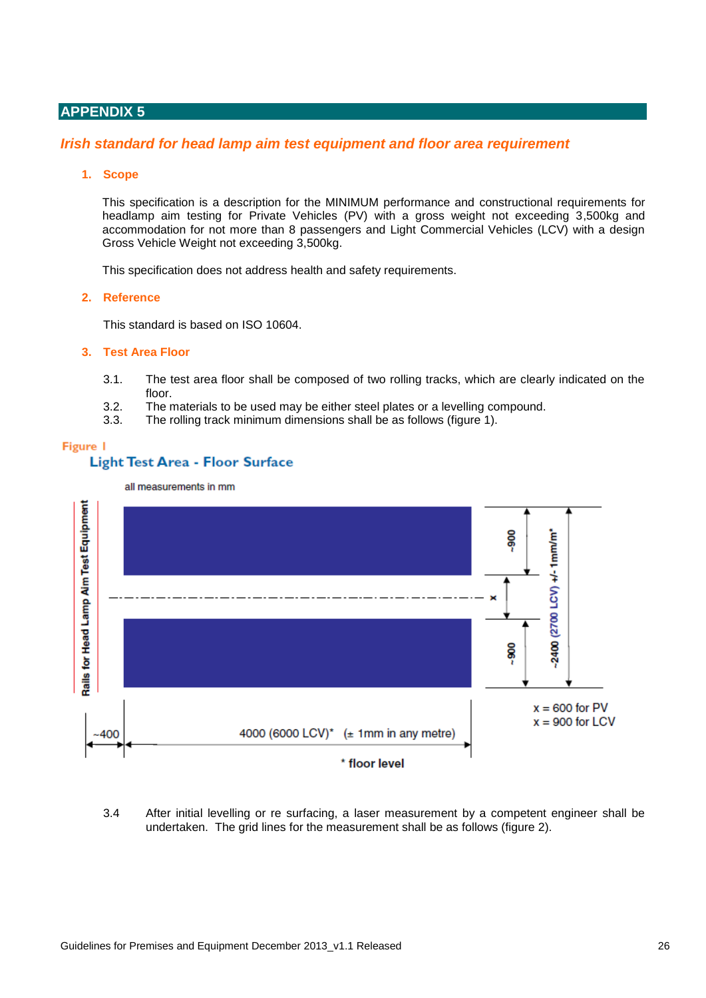## <span id="page-25-0"></span>**APPENDIX 5**

### <span id="page-25-1"></span>*Irish standard for head lamp aim test equipment and floor area requirement*

#### **1. Scope**

This specification is a description for the MINIMUM performance and constructional requirements for headlamp aim testing for Private Vehicles (PV) with a gross weight not exceeding 3,500kg and accommodation for not more than 8 passengers and Light Commercial Vehicles (LCV) with a design Gross Vehicle Weight not exceeding 3,500kg.

This specification does not address health and safety requirements.

#### **2. Reference**

This standard is based on ISO 10604.

#### **3. Test Area Floor**

- 3.1. The test area floor shall be composed of two rolling tracks, which are clearly indicated on the floor.
- 3.2. The materials to be used may be either steel plates or a levelling compound.
- 3.3. The rolling track minimum dimensions shall be as follows (figure 1).

#### Figure 1

#### **Light Test Area - Floor Surface**

all measurements in mm



#### 3.4 After initial levelling or re surfacing, a laser measurement by a competent engineer shall be undertaken. The grid lines for the measurement shall be as follows (figure 2).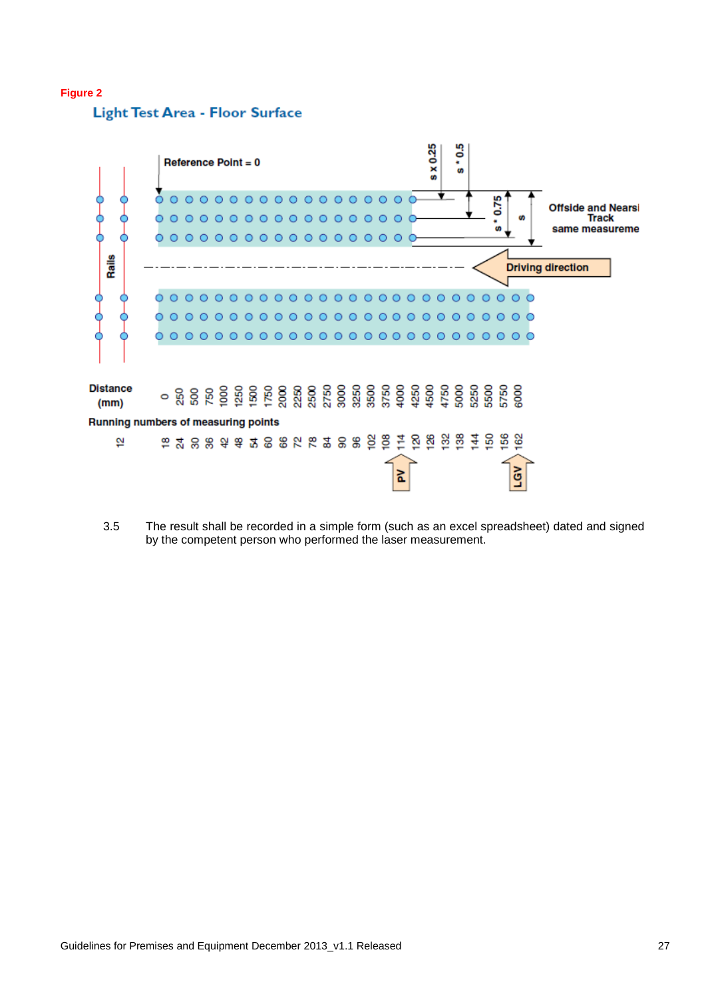#### **Figure 2**

Light Test Area - Floor Surface



3.5 The result shall be recorded in a simple form (such as an excel spreadsheet) dated and signed by the competent person who performed the laser measurement.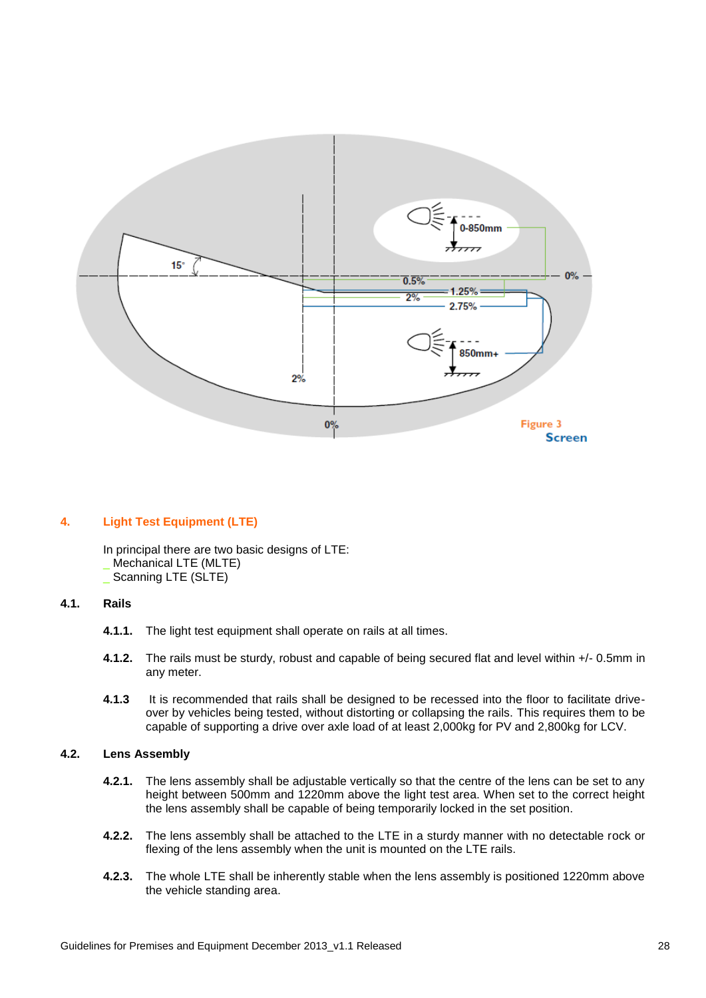

#### **4. Light Test Equipment (LTE)**

In principal there are two basic designs of LTE: Mechanical LTE (MLTE)

\_ Scanning LTE (SLTE)

#### **4.1. Rails**

- **4.1.1.** The light test equipment shall operate on rails at all times.
- **4.1.2.** The rails must be sturdy, robust and capable of being secured flat and level within +/- 0.5mm in any meter.
- **4.1.3** It is recommended that rails shall be designed to be recessed into the floor to facilitate driveover by vehicles being tested, without distorting or collapsing the rails. This requires them to be capable of supporting a drive over axle load of at least 2,000kg for PV and 2,800kg for LCV.

#### **4.2. Lens Assembly**

- **4.2.1.** The lens assembly shall be adjustable vertically so that the centre of the lens can be set to any height between 500mm and 1220mm above the light test area. When set to the correct height the lens assembly shall be capable of being temporarily locked in the set position.
- **4.2.2.** The lens assembly shall be attached to the LTE in a sturdy manner with no detectable rock or flexing of the lens assembly when the unit is mounted on the LTE rails.
- **4.2.3.** The whole LTE shall be inherently stable when the lens assembly is positioned 1220mm above the vehicle standing area.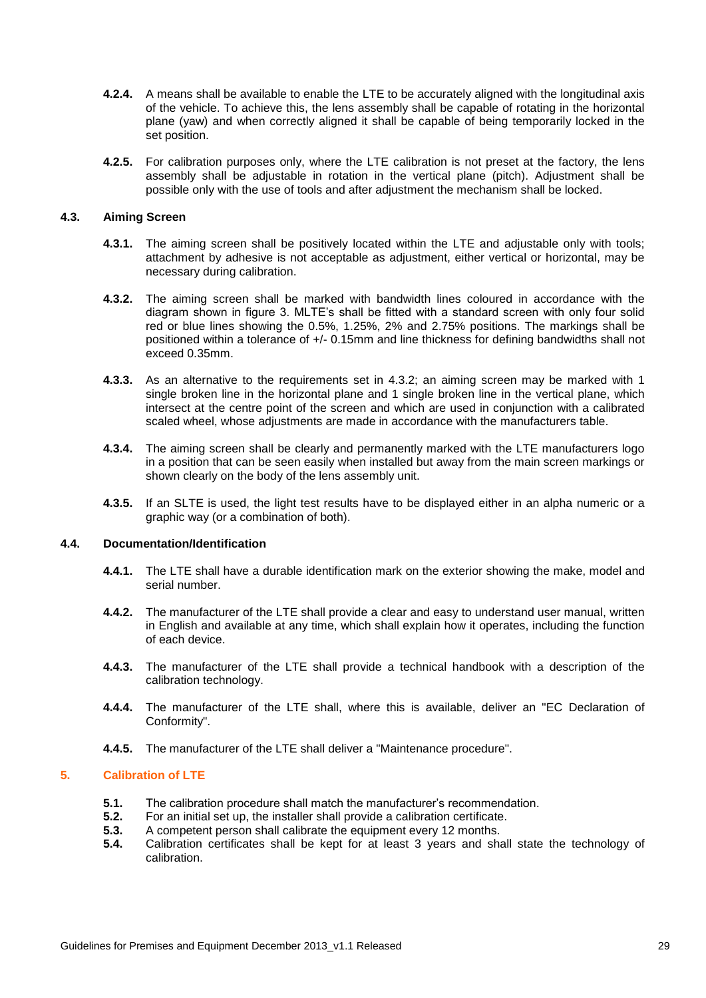- **4.2.4.** A means shall be available to enable the LTE to be accurately aligned with the longitudinal axis of the vehicle. To achieve this, the lens assembly shall be capable of rotating in the horizontal plane (yaw) and when correctly aligned it shall be capable of being temporarily locked in the set position.
- **4.2.5.** For calibration purposes only, where the LTE calibration is not preset at the factory, the lens assembly shall be adjustable in rotation in the vertical plane (pitch). Adjustment shall be possible only with the use of tools and after adjustment the mechanism shall be locked.

#### **4.3. Aiming Screen**

- **4.3.1.** The aiming screen shall be positively located within the LTE and adjustable only with tools; attachment by adhesive is not acceptable as adjustment, either vertical or horizontal, may be necessary during calibration.
- **4.3.2.** The aiming screen shall be marked with bandwidth lines coloured in accordance with the diagram shown in figure 3. MLTE's shall be fitted with a standard screen with only four solid red or blue lines showing the 0.5%, 1.25%, 2% and 2.75% positions. The markings shall be positioned within a tolerance of +/- 0.15mm and line thickness for defining bandwidths shall not exceed 0.35mm.
- **4.3.3.** As an alternative to the requirements set in 4.3.2; an aiming screen may be marked with 1 single broken line in the horizontal plane and 1 single broken line in the vertical plane, which intersect at the centre point of the screen and which are used in conjunction with a calibrated scaled wheel, whose adjustments are made in accordance with the manufacturers table.
- **4.3.4.** The aiming screen shall be clearly and permanently marked with the LTE manufacturers logo in a position that can be seen easily when installed but away from the main screen markings or shown clearly on the body of the lens assembly unit.
- **4.3.5.** If an SLTE is used, the light test results have to be displayed either in an alpha numeric or a graphic way (or a combination of both).

#### **4.4. Documentation/Identification**

- **4.4.1.** The LTE shall have a durable identification mark on the exterior showing the make, model and serial number.
- **4.4.2.** The manufacturer of the LTE shall provide a clear and easy to understand user manual, written in English and available at any time, which shall explain how it operates, including the function of each device.
- **4.4.3.** The manufacturer of the LTE shall provide a technical handbook with a description of the calibration technology.
- **4.4.4.** The manufacturer of the LTE shall, where this is available, deliver an "EC Declaration of Conformity".
- **4.4.5.** The manufacturer of the LTE shall deliver a "Maintenance procedure".

#### **5. Calibration of LTE**

- **5.1.** The calibration procedure shall match the manufacturer's recommendation.
- **5.2.** For an initial set up, the installer shall provide a calibration certificate.<br>**5.3.** A competent person shall calibrate the equipment every 12 months.
- **5.3.** A competent person shall calibrate the equipment every 12 months.<br>**5.4.** Calibration certificates shall be kent for at least 3 years and shall
- **5.4.** Calibration certificates shall be kept for at least 3 years and shall state the technology of calibration.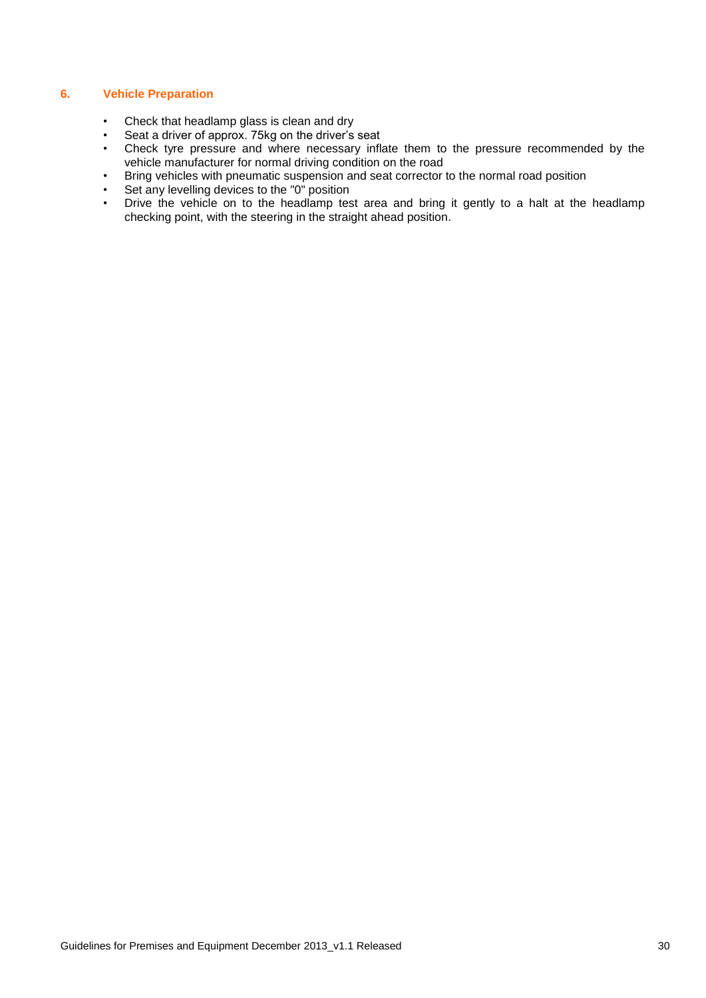#### **6. Vehicle Preparation**

- Check that headlamp glass is clean and dry
- Seat a driver of approx. 75kg on the driver's seat
- Check tyre pressure and where necessary inflate them to the pressure recommended by the vehicle manufacturer for normal driving condition on the road
- Bring vehicles with pneumatic suspension and seat corrector to the normal road position
- Set any levelling devices to the "0" position
- Drive the vehicle on to the headlamp test area and bring it gently to a halt at the headlamp checking point, with the steering in the straight ahead position.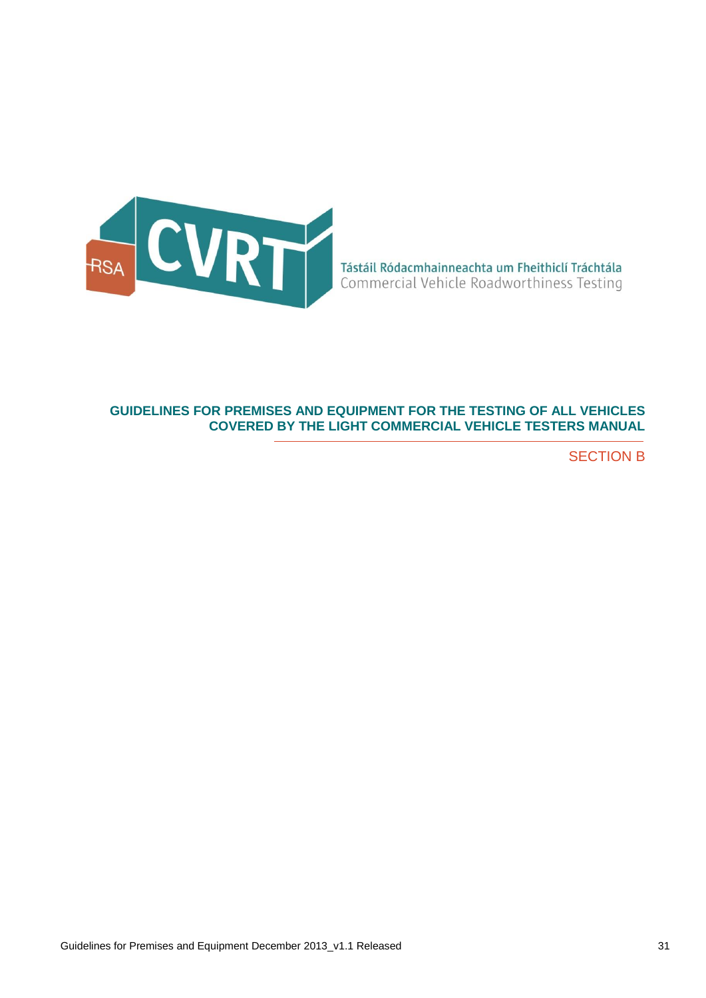

## **GUIDELINES FOR PREMISES AND EQUIPMENT FOR THE TESTING OF ALL VEHICLES COVERED BY THE LIGHT COMMERCIAL VEHICLE TESTERS MANUAL**

SECTION B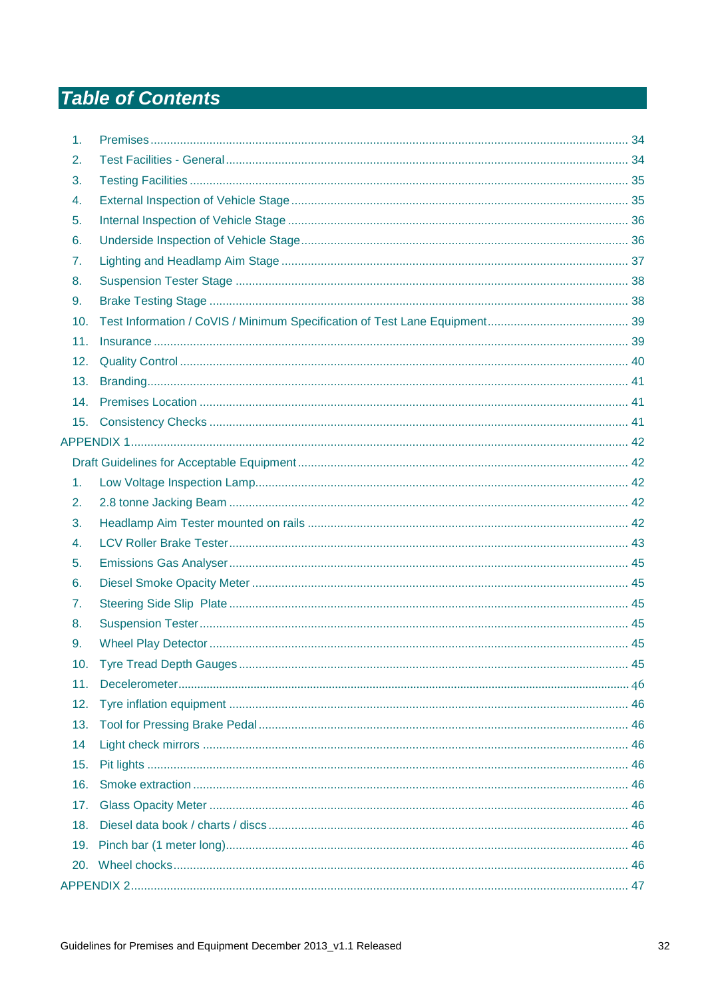# **Table of Contents**

| 1.  |  |
|-----|--|
| 2.  |  |
| 3.  |  |
| 4.  |  |
| 5.  |  |
| 6.  |  |
| 7.  |  |
| 8.  |  |
| 9.  |  |
| 10. |  |
| 11. |  |
| 12. |  |
| 13. |  |
| 14. |  |
| 15. |  |
|     |  |
|     |  |
| 1.  |  |
| 2.  |  |
| 3.  |  |
| 4.  |  |
| 5.  |  |
| 6.  |  |
| 7.  |  |
| 8.  |  |
| 9.  |  |
| 10. |  |
| 11. |  |
| 12. |  |
| 13. |  |
| 14  |  |
| 15. |  |
| 16. |  |
| 17. |  |
| 18. |  |
|     |  |
|     |  |
|     |  |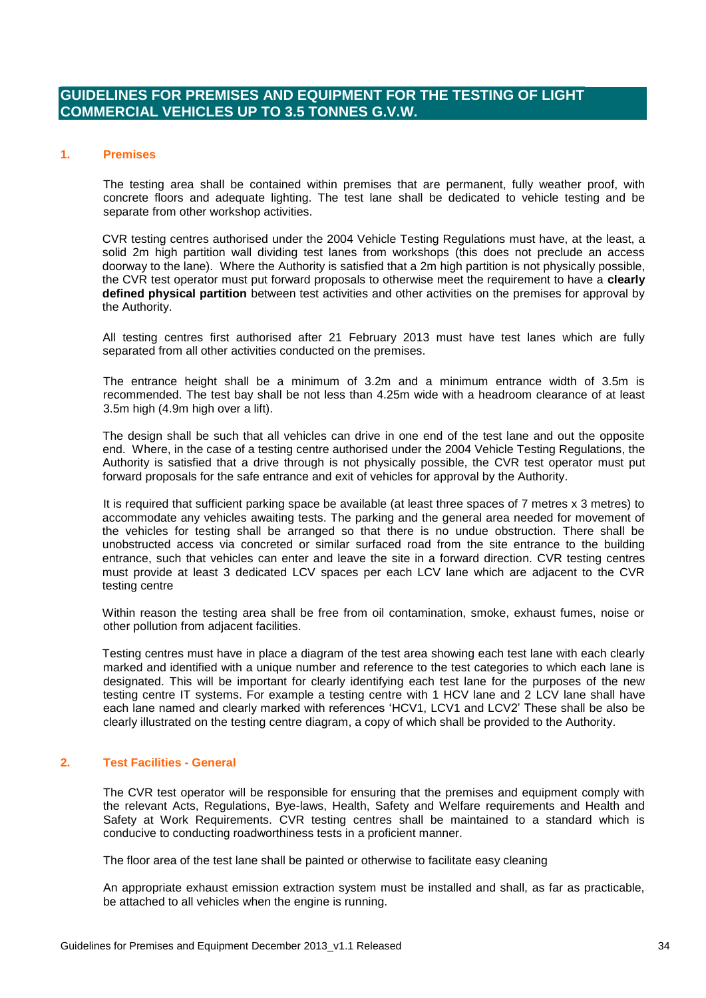## **GUIDELINES FOR PREMISES AND EQUIPMENT FOR THE TESTING OF LIGHT COMMERCIAL VEHICLES UP TO 3.5 TONNES G.V.W.**

#### <span id="page-33-0"></span>**1. Premises**

The testing area shall be contained within premises that are permanent, fully weather proof, with concrete floors and adequate lighting. The test lane shall be dedicated to vehicle testing and be separate from other workshop activities.

CVR testing centres authorised under the 2004 Vehicle Testing Regulations must have, at the least, a solid 2m high partition wall dividing test lanes from workshops (this does not preclude an access doorway to the lane). Where the Authority is satisfied that a 2m high partition is not physically possible, the CVR test operator must put forward proposals to otherwise meet the requirement to have a **clearly defined physical partition** between test activities and other activities on the premises for approval by the Authority.

All testing centres first authorised after 21 February 2013 must have test lanes which are fully separated from all other activities conducted on the premises.

The entrance height shall be a minimum of 3.2m and a minimum entrance width of 3.5m is recommended. The test bay shall be not less than 4.25m wide with a headroom clearance of at least 3.5m high (4.9m high over a lift).

The design shall be such that all vehicles can drive in one end of the test lane and out the opposite end. Where, in the case of a testing centre authorised under the 2004 Vehicle Testing Regulations, the Authority is satisfied that a drive through is not physically possible, the CVR test operator must put forward proposals for the safe entrance and exit of vehicles for approval by the Authority.

It is required that sufficient parking space be available (at least three spaces of 7 metres x 3 metres) to accommodate any vehicles awaiting tests. The parking and the general area needed for movement of the vehicles for testing shall be arranged so that there is no undue obstruction. There shall be unobstructed access via concreted or similar surfaced road from the site entrance to the building entrance, such that vehicles can enter and leave the site in a forward direction. CVR testing centres must provide at least 3 dedicated LCV spaces per each LCV lane which are adjacent to the CVR testing centre

Within reason the testing area shall be free from oil contamination, smoke, exhaust fumes, noise or other pollution from adjacent facilities.

Testing centres must have in place a diagram of the test area showing each test lane with each clearly marked and identified with a unique number and reference to the test categories to which each lane is designated. This will be important for clearly identifying each test lane for the purposes of the new testing centre IT systems. For example a testing centre with 1 HCV lane and 2 LCV lane shall have each lane named and clearly marked with references 'HCV1, LCV1 and LCV2' These shall be also be clearly illustrated on the testing centre diagram, a copy of which shall be provided to the Authority.

#### <span id="page-33-1"></span>**2. Test Facilities - General**

The CVR test operator will be responsible for ensuring that the premises and equipment comply with the relevant Acts, Regulations, Bye-laws, Health, Safety and Welfare requirements and Health and Safety at Work Requirements. CVR testing centres shall be maintained to a standard which is conducive to conducting roadworthiness tests in a proficient manner.

The floor area of the test lane shall be painted or otherwise to facilitate easy cleaning

An appropriate exhaust emission extraction system must be installed and shall, as far as practicable, be attached to all vehicles when the engine is running.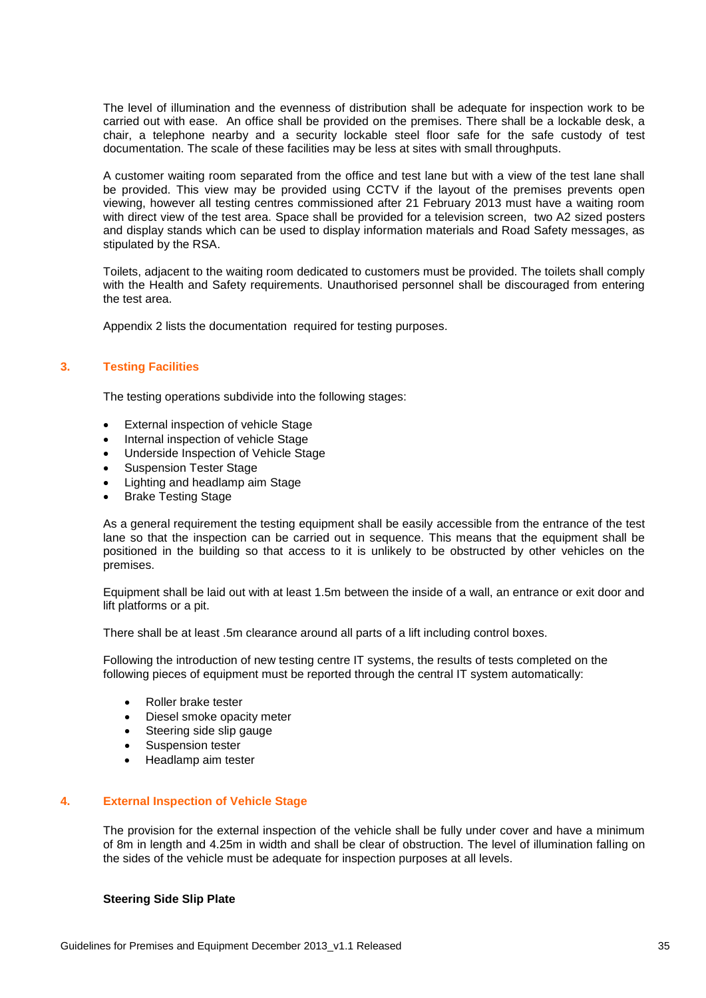The level of illumination and the evenness of distribution shall be adequate for inspection work to be carried out with ease. An office shall be provided on the premises. There shall be a lockable desk, a chair, a telephone nearby and a security lockable steel floor safe for the safe custody of test documentation. The scale of these facilities may be less at sites with small throughputs.

A customer waiting room separated from the office and test lane but with a view of the test lane shall be provided. This view may be provided using CCTV if the layout of the premises prevents open viewing, however all testing centres commissioned after 21 February 2013 must have a waiting room with direct view of the test area. Space shall be provided for a television screen, two A2 sized posters and display stands which can be used to display information materials and Road Safety messages, as stipulated by the RSA.

Toilets, adjacent to the waiting room dedicated to customers must be provided. The toilets shall comply with the Health and Safety requirements. Unauthorised personnel shall be discouraged from entering the test area.

Appendix 2 lists the documentation required for testing purposes.

#### <span id="page-34-0"></span>**3. Testing Facilities**

The testing operations subdivide into the following stages:

- External inspection of vehicle Stage
- Internal inspection of vehicle Stage
- Underside Inspection of Vehicle Stage
- Suspension Tester Stage
- Lighting and headlamp aim Stage
- Brake Testing Stage

As a general requirement the testing equipment shall be easily accessible from the entrance of the test lane so that the inspection can be carried out in sequence. This means that the equipment shall be positioned in the building so that access to it is unlikely to be obstructed by other vehicles on the premises.

Equipment shall be laid out with at least 1.5m between the inside of a wall, an entrance or exit door and lift platforms or a pit.

There shall be at least .5m clearance around all parts of a lift including control boxes.

Following the introduction of new testing centre IT systems, the results of tests completed on the following pieces of equipment must be reported through the central IT system automatically:

- Roller brake tester
- Diesel smoke opacity meter
- Steering side slip gauge
- Suspension tester
- Headlamp aim tester

#### <span id="page-34-1"></span>**4. External Inspection of Vehicle Stage**

The provision for the external inspection of the vehicle shall be fully under cover and have a minimum of 8m in length and 4.25m in width and shall be clear of obstruction. The level of illumination falling on the sides of the vehicle must be adequate for inspection purposes at all levels.

#### **Steering Side Slip Plate**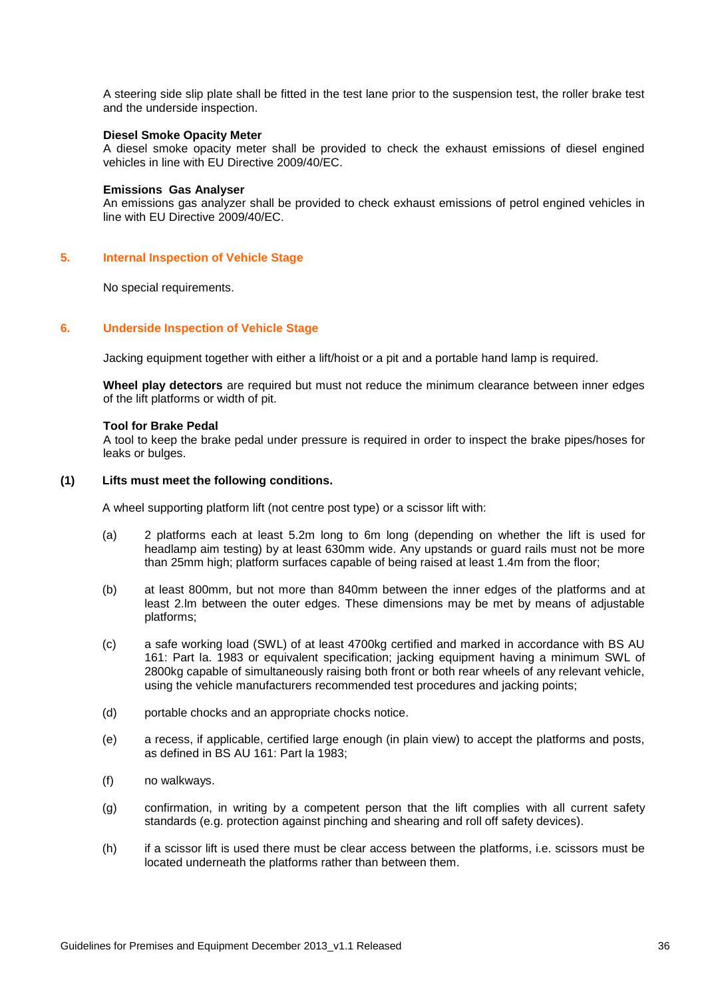A steering side slip plate shall be fitted in the test lane prior to the suspension test, the roller brake test and the underside inspection.

#### **Diesel Smoke Opacity Meter**

A diesel smoke opacity meter shall be provided to check the exhaust emissions of diesel engined vehicles in line with EU Directive 2009/40/EC.

#### **Emissions Gas Analyser**

An emissions gas analyzer shall be provided to check exhaust emissions of petrol engined vehicles in line with EU Directive 2009/40/EC.

#### <span id="page-35-0"></span>**5. Internal Inspection of Vehicle Stage**

No special requirements.

#### <span id="page-35-1"></span>**6. Underside Inspection of Vehicle Stage**

Jacking equipment together with either a lift/hoist or a pit and a portable hand lamp is required.

**Wheel play detectors** are required but must not reduce the minimum clearance between inner edges of the lift platforms or width of pit.

#### **Tool for Brake Pedal**

A tool to keep the brake pedal under pressure is required in order to inspect the brake pipes/hoses for leaks or bulges.

#### **(1) Lifts must meet the following conditions.**

A wheel supporting platform lift (not centre post type) or a scissor lift with:

- (a) 2 platforms each at least 5.2m long to 6m long (depending on whether the lift is used for headlamp aim testing) by at least 630mm wide. Any upstands or guard rails must not be more than 25mm high; platform surfaces capable of being raised at least 1.4m from the floor;
- (b) at least 800mm, but not more than 840mm between the inner edges of the platforms and at least 2.lm between the outer edges. These dimensions may be met by means of adjustable platforms;
- (c) a safe working load (SWL) of at least 4700kg certified and marked in accordance with BS AU 161: Part la. 1983 or equivalent specification; jacking equipment having a minimum SWL of 2800kg capable of simultaneously raising both front or both rear wheels of any relevant vehicle, using the vehicle manufacturers recommended test procedures and jacking points;
- (d) portable chocks and an appropriate chocks notice.
- (e) a recess, if applicable, certified large enough (in plain view) to accept the platforms and posts, as defined in BS AU 161: Part la 1983;
- (f) no walkways.
- (g) confirmation, in writing by a competent person that the lift complies with all current safety standards (e.g. protection against pinching and shearing and roll off safety devices).
- (h) if a scissor lift is used there must be clear access between the platforms, i.e. scissors must be located underneath the platforms rather than between them.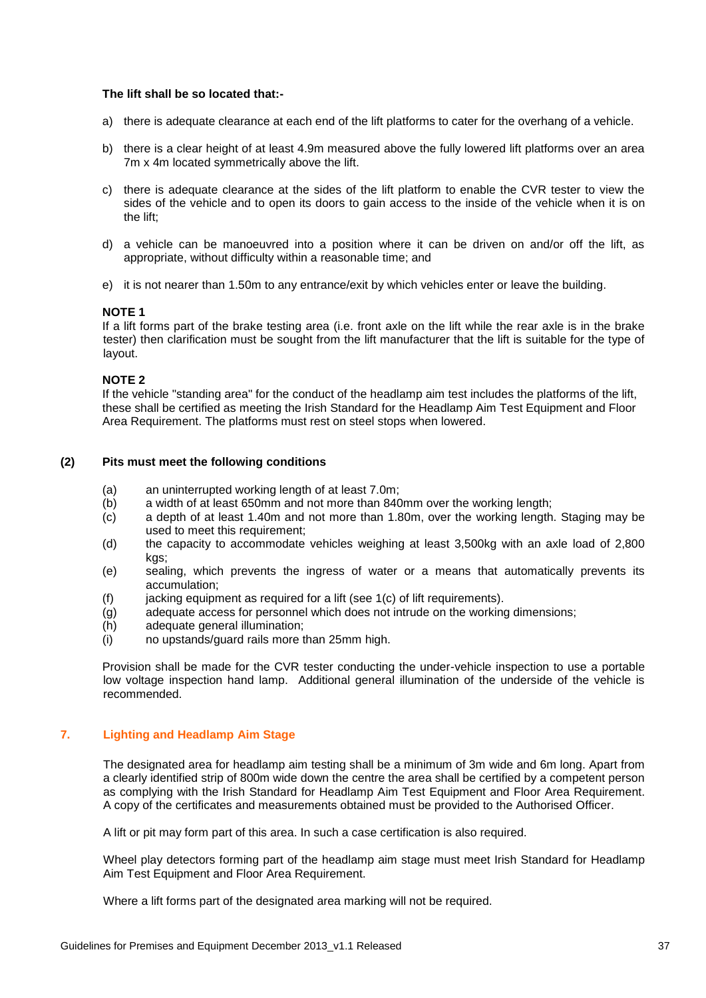#### **The lift shall be so located that:-**

- a) there is adequate clearance at each end of the lift platforms to cater for the overhang of a vehicle.
- b) there is a clear height of at least 4.9m measured above the fully lowered lift platforms over an area 7m x 4m located symmetrically above the lift.
- c) there is adequate clearance at the sides of the lift platform to enable the CVR tester to view the sides of the vehicle and to open its doors to gain access to the inside of the vehicle when it is on the lift;
- d) a vehicle can be manoeuvred into a position where it can be driven on and/or off the lift, as appropriate, without difficulty within a reasonable time; and
- e) it is not nearer than 1.50m to any entrance/exit by which vehicles enter or leave the building.

#### **NOTE 1**

If a lift forms part of the brake testing area (i.e. front axle on the lift while the rear axle is in the brake tester) then clarification must be sought from the lift manufacturer that the lift is suitable for the type of layout.

#### **NOTE 2**

If the vehicle "standing area" for the conduct of the headlamp aim test includes the platforms of the lift, these shall be certified as meeting the Irish Standard for the Headlamp Aim Test Equipment and Floor Area Requirement. The platforms must rest on steel stops when lowered.

#### **(2) Pits must meet the following conditions**

- (a) an uninterrupted working length of at least 7.0m;
- (b) a width of at least 650mm and not more than 840mm over the working length;
- (c) a depth of at least 1.40m and not more than 1.80m, over the working length. Staging may be used to meet this requirement;
- (d) the capacity to accommodate vehicles weighing at least 3,500kg with an axle load of 2,800 kgs;
- (e) sealing, which prevents the ingress of water or a means that automatically prevents its accumulation;
- $(f)$  jacking equipment as required for a lift (see 1(c) of lift requirements).
- (g) adequate access for personnel which does not intrude on the working dimensions;
- (h) adequate general illumination;
- (i) no upstands/guard rails more than 25mm high.

Provision shall be made for the CVR tester conducting the under-vehicle inspection to use a portable low voltage inspection hand lamp. Additional general illumination of the underside of the vehicle is recommended.

#### <span id="page-36-0"></span>**7. Lighting and Headlamp Aim Stage**

The designated area for headlamp aim testing shall be a minimum of 3m wide and 6m long. Apart from a clearly identified strip of 800m wide down the centre the area shall be certified by a competent person as complying with the Irish Standard for Headlamp Aim Test Equipment and Floor Area Requirement. A copy of the certificates and measurements obtained must be provided to the Authorised Officer.

A lift or pit may form part of this area. In such a case certification is also required.

Wheel play detectors forming part of the headlamp aim stage must meet Irish Standard for Headlamp Aim Test Equipment and Floor Area Requirement.

Where a lift forms part of the designated area marking will not be required.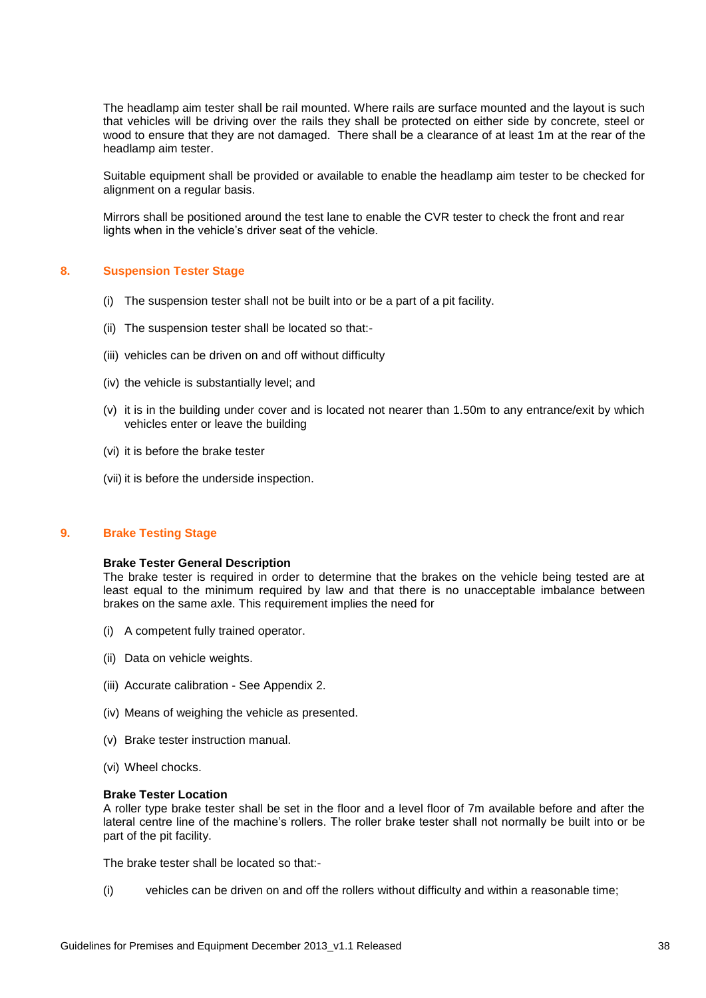The headlamp aim tester shall be rail mounted. Where rails are surface mounted and the layout is such that vehicles will be driving over the rails they shall be protected on either side by concrete, steel or wood to ensure that they are not damaged. There shall be a clearance of at least 1m at the rear of the headlamp aim tester.

Suitable equipment shall be provided or available to enable the headlamp aim tester to be checked for alignment on a regular basis.

Mirrors shall be positioned around the test lane to enable the CVR tester to check the front and rear lights when in the vehicle's driver seat of the vehicle.

#### <span id="page-37-0"></span>**8. Suspension Tester Stage**

- (i) The suspension tester shall not be built into or be a part of a pit facility.
- (ii) The suspension tester shall be located so that:-
- (iii) vehicles can be driven on and off without difficulty
- (iv) the vehicle is substantially level; and
- (v) it is in the building under cover and is located not nearer than 1.50m to any entrance/exit by which vehicles enter or leave the building
- (vi) it is before the brake tester
- (vii) it is before the underside inspection.

#### <span id="page-37-1"></span>**9. Brake Testing Stage**

#### **Brake Tester General Description**

The brake tester is required in order to determine that the brakes on the vehicle being tested are at least equal to the minimum required by law and that there is no unacceptable imbalance between brakes on the same axle. This requirement implies the need for

- (i) A competent fully trained operator.
- (ii) Data on vehicle weights.
- (iii) Accurate calibration See Appendix 2.
- (iv) Means of weighing the vehicle as presented.
- (v) Brake tester instruction manual.
- (vi) Wheel chocks.

#### **Brake Tester Location**

A roller type brake tester shall be set in the floor and a level floor of 7m available before and after the lateral centre line of the machine's rollers. The roller brake tester shall not normally be built into or be part of the pit facility.

The brake tester shall be located so that:-

(i) vehicles can be driven on and off the rollers without difficulty and within a reasonable time;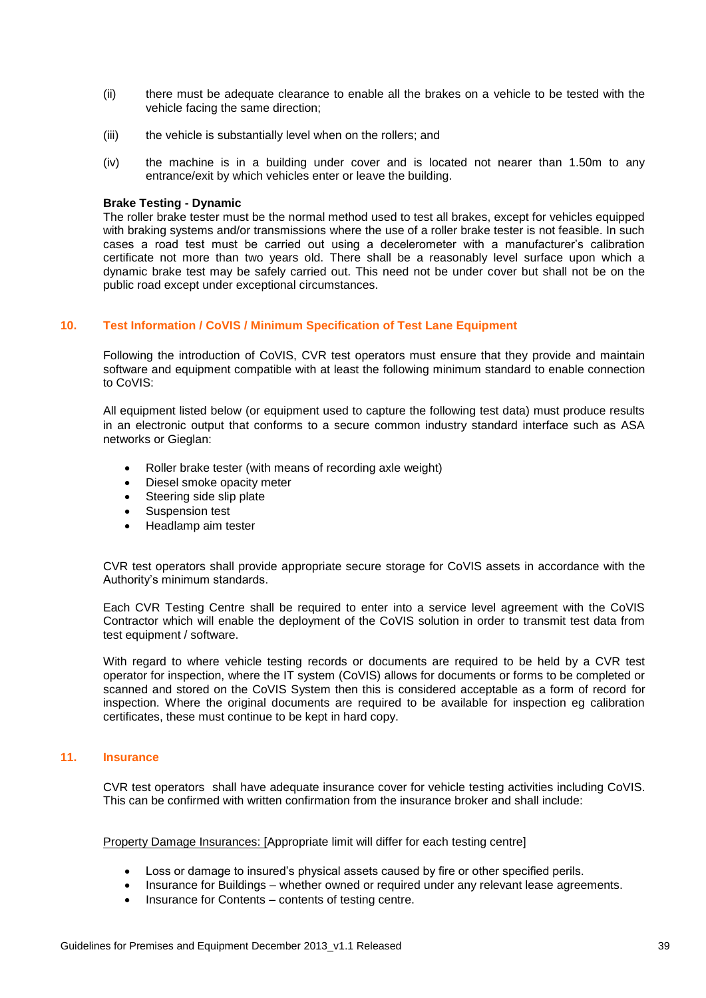- (ii) there must be adequate clearance to enable all the brakes on a vehicle to be tested with the vehicle facing the same direction;
- (iii) the vehicle is substantially level when on the rollers; and
- (iv) the machine is in a building under cover and is located not nearer than 1.50m to any entrance/exit by which vehicles enter or leave the building.

#### **Brake Testing - Dynamic**

The roller brake tester must be the normal method used to test all brakes, except for vehicles equipped with braking systems and/or transmissions where the use of a roller brake tester is not feasible. In such cases a road test must be carried out using a decelerometer with a manufacturer's calibration certificate not more than two years old. There shall be a reasonably level surface upon which a dynamic brake test may be safely carried out. This need not be under cover but shall not be on the public road except under exceptional circumstances.

#### <span id="page-38-0"></span>**10. Test Information / CoVIS / Minimum Specification of Test Lane Equipment**

Following the introduction of CoVIS, CVR test operators must ensure that they provide and maintain software and equipment compatible with at least the following minimum standard to enable connection to CoVIS:

All equipment listed below (or equipment used to capture the following test data) must produce results in an electronic output that conforms to a secure common industry standard interface such as ASA networks or Gieglan:

- Roller brake tester (with means of recording axle weight)
- Diesel smoke opacity meter
- Steering side slip plate
- Suspension test
- Headlamp aim tester

CVR test operators shall provide appropriate secure storage for CoVIS assets in accordance with the Authority's minimum standards.

Each CVR Testing Centre shall be required to enter into a service level agreement with the CoVIS Contractor which will enable the deployment of the CoVIS solution in order to transmit test data from test equipment / software.

With regard to where vehicle testing records or documents are required to be held by a CVR test operator for inspection, where the IT system (CoVIS) allows for documents or forms to be completed or scanned and stored on the CoVIS System then this is considered acceptable as a form of record for inspection. Where the original documents are required to be available for inspection eg calibration certificates, these must continue to be kept in hard copy.

#### <span id="page-38-1"></span>**11. Insurance**

CVR test operators shall have adequate insurance cover for vehicle testing activities including CoVIS. This can be confirmed with written confirmation from the insurance broker and shall include:

Property Damage Insurances: [Appropriate limit will differ for each testing centre]

- Loss or damage to insured's physical assets caused by fire or other specified perils.
- Insurance for Buildings whether owned or required under any relevant lease agreements.
- Insurance for Contents contents of testing centre.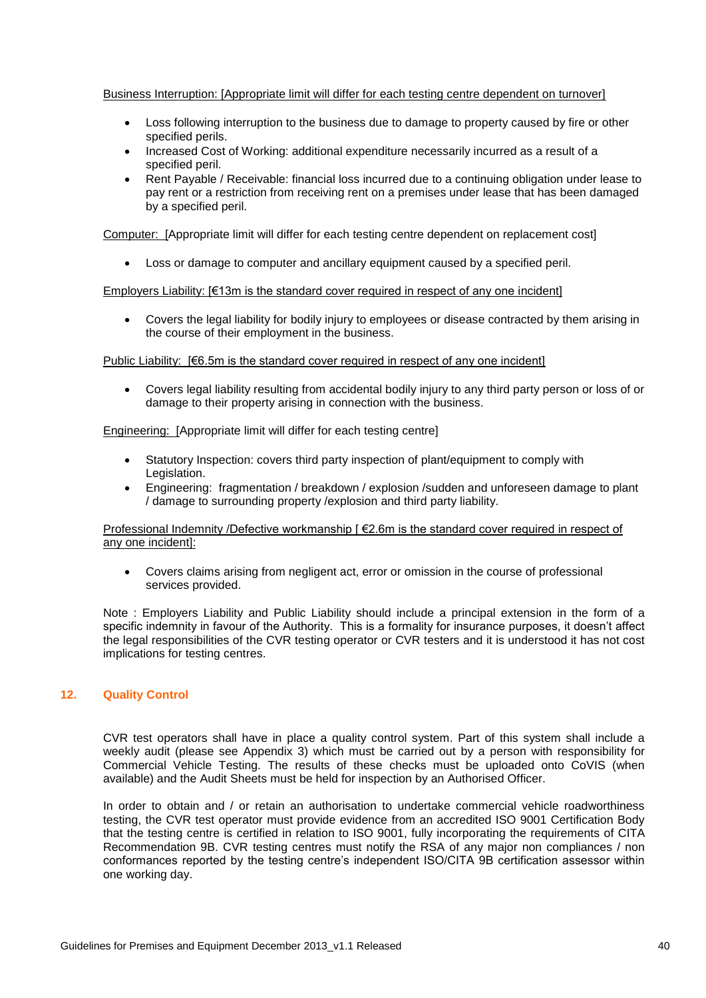#### Business Interruption: [Appropriate limit will differ for each testing centre dependent on turnover]

- Loss following interruption to the business due to damage to property caused by fire or other specified perils.
- Increased Cost of Working: additional expenditure necessarily incurred as a result of a specified peril.
- Rent Payable / Receivable: financial loss incurred due to a continuing obligation under lease to pay rent or a restriction from receiving rent on a premises under lease that has been damaged by a specified peril.

Computer: [Appropriate limit will differ for each testing centre dependent on replacement cost]

Loss or damage to computer and ancillary equipment caused by a specified peril.

Employers Liability: [€13m is the standard cover required in respect of any one incident]

 Covers the legal liability for bodily injury to employees or disease contracted by them arising in the course of their employment in the business.

Public Liability:  $F \in \mathbb{6}$ .5m is the standard cover required in respect of any one incident

 Covers legal liability resulting from accidental bodily injury to any third party person or loss of or damage to their property arising in connection with the business.

Engineering: [Appropriate limit will differ for each testing centre]

- Statutory Inspection: covers third party inspection of plant/equipment to comply with Legislation.
- Engineering: fragmentation / breakdown / explosion /sudden and unforeseen damage to plant / damage to surrounding property /explosion and third party liability.

#### Professional Indemnity /Defective workmanship [ €2.6m is the standard cover required in respect of any one incident]:

 Covers claims arising from negligent act, error or omission in the course of professional services provided.

Note : Employers Liability and Public Liability should include a principal extension in the form of a specific indemnity in favour of the Authority. This is a formality for insurance purposes, it doesn't affect the legal responsibilities of the CVR testing operator or CVR testers and it is understood it has not cost implications for testing centres.

#### <span id="page-39-0"></span>**12. Quality Control**

CVR test operators shall have in place a quality control system. Part of this system shall include a weekly audit (please see Appendix 3) which must be carried out by a person with responsibility for Commercial Vehicle Testing. The results of these checks must be uploaded onto CoVIS (when available) and the Audit Sheets must be held for inspection by an Authorised Officer.

In order to obtain and / or retain an authorisation to undertake commercial vehicle roadworthiness testing, the CVR test operator must provide evidence from an accredited ISO 9001 Certification Body that the testing centre is certified in relation to ISO 9001, fully incorporating the requirements of CITA Recommendation 9B. CVR testing centres must notify the RSA of any major non compliances / non conformances reported by the testing centre's independent ISO/CITA 9B certification assessor within one working day.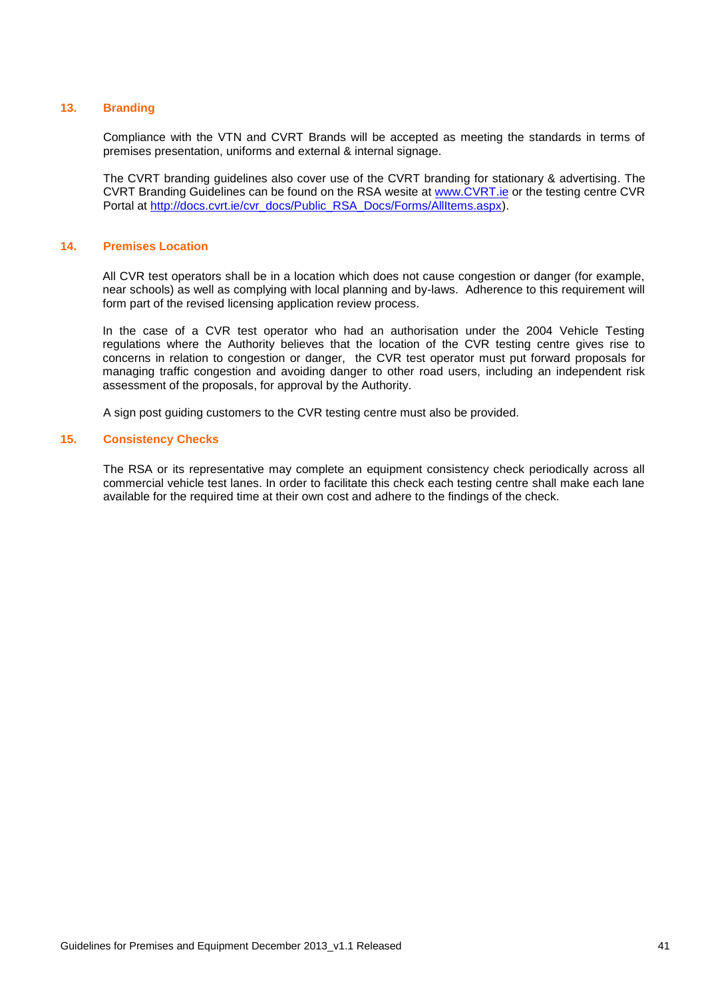#### <span id="page-40-0"></span>**13. Branding**

Compliance with the VTN and CVRT Brands will be accepted as meeting the standards in terms of premises presentation, uniforms and external & internal signage.

The CVRT branding guidelines also cover use of the CVRT branding for stationary & advertising. The CVRT Branding Guidelines can be found on the RSA wesite at [www.CVRT.ie](http://www.cvrt.ie/) or the testing centre CVR Portal at [http://docs.cvrt.ie/cvr\\_docs/Public\\_RSA\\_Docs/Forms/AllItems.aspx\)](http://docs.cvrt.ie/cvr_docs/Public_RSA_Docs/Forms/AllItems.aspx).

#### <span id="page-40-1"></span>**14. Premises Location**

All CVR test operators shall be in a location which does not cause congestion or danger (for example, near schools) as well as complying with local planning and by-laws. Adherence to this requirement will form part of the revised licensing application review process.

In the case of a CVR test operator who had an authorisation under the 2004 Vehicle Testing regulations where the Authority believes that the location of the CVR testing centre gives rise to concerns in relation to congestion or danger, the CVR test operator must put forward proposals for managing traffic congestion and avoiding danger to other road users, including an independent risk assessment of the proposals, for approval by the Authority.

A sign post guiding customers to the CVR testing centre must also be provided.

#### <span id="page-40-2"></span>**15. Consistency Checks**

The RSA or its representative may complete an equipment consistency check periodically across all commercial vehicle test lanes. In order to facilitate this check each testing centre shall make each lane available for the required time at their own cost and adhere to the findings of the check.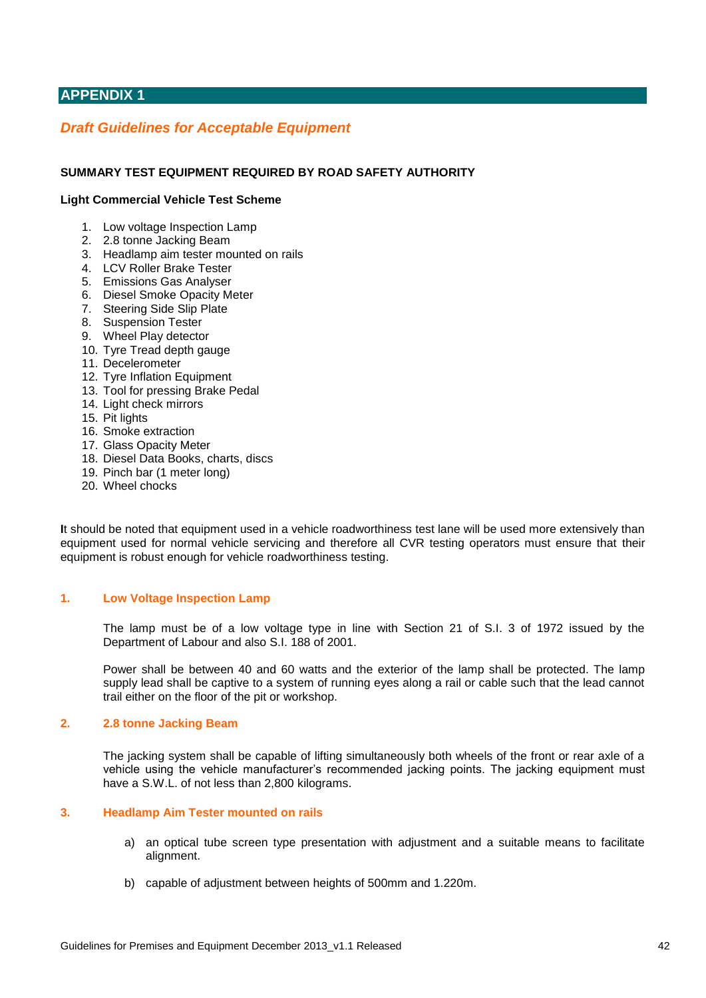## <span id="page-41-0"></span>**APPENDIX 1**

## <span id="page-41-1"></span>*Draft Guidelines for Acceptable Equipment*

#### **SUMMARY TEST EQUIPMENT REQUIRED BY ROAD SAFETY AUTHORITY**

#### **Light Commercial Vehicle Test Scheme**

- 1. Low voltage Inspection Lamp
- 2. 2.8 tonne Jacking Beam
- 3. Headlamp aim tester mounted on rails
- 4. LCV Roller Brake Tester
- 5. Emissions Gas Analyser
- 6. Diesel Smoke Opacity Meter
- 7. Steering Side Slip Plate
- 8. Suspension Tester
- 9. Wheel Play detector
- 10. Tyre Tread depth gauge
- 11. Decelerometer
- 12. Tyre Inflation Equipment
- 13. Tool for pressing Brake Pedal
- 14. Light check mirrors
- 15. Pit lights
- 16. Smoke extraction
- 17. Glass Opacity Meter
- 18. Diesel Data Books, charts, discs
- 19. Pinch bar (1 meter long)
- 20. Wheel chocks

**I**t should be noted that equipment used in a vehicle roadworthiness test lane will be used more extensively than equipment used for normal vehicle servicing and therefore all CVR testing operators must ensure that their equipment is robust enough for vehicle roadworthiness testing.

#### <span id="page-41-2"></span>**1. Low Voltage Inspection Lamp**

The lamp must be of a low voltage type in line with Section 21 of S.I. 3 of 1972 issued by the Department of Labour and also S.I. 188 of 2001.

Power shall be between 40 and 60 watts and the exterior of the lamp shall be protected. The lamp supply lead shall be captive to a system of running eyes along a rail or cable such that the lead cannot trail either on the floor of the pit or workshop.

#### <span id="page-41-3"></span>**2. 2.8 tonne Jacking Beam**

The jacking system shall be capable of lifting simultaneously both wheels of the front or rear axle of a vehicle using the vehicle manufacturer's recommended jacking points. The jacking equipment must have a S.W.L. of not less than 2,800 kilograms.

#### <span id="page-41-4"></span>**3. Headlamp Aim Tester mounted on rails**

- a) an optical tube screen type presentation with adjustment and a suitable means to facilitate alignment.
- b) capable of adjustment between heights of 500mm and 1.220m.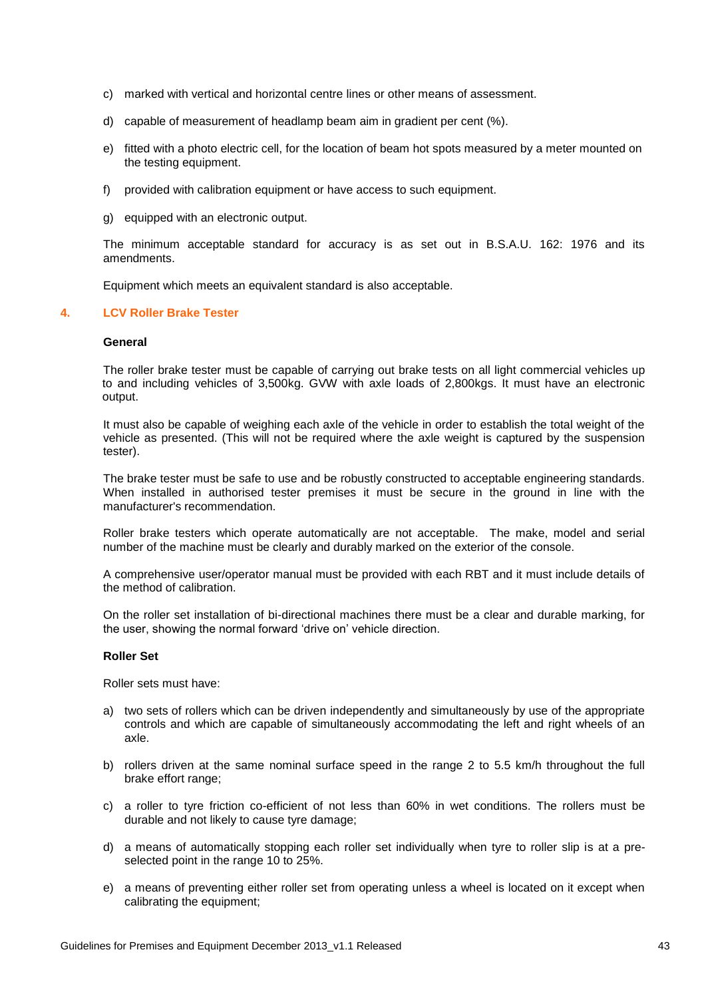- c) marked with vertical and horizontal centre lines or other means of assessment.
- d) capable of measurement of headlamp beam aim in gradient per cent (%).
- e) fitted with a photo electric cell, for the location of beam hot spots measured by a meter mounted on the testing equipment.
- f) provided with calibration equipment or have access to such equipment.
- g) equipped with an electronic output.

The minimum acceptable standard for accuracy is as set out in B.S.A.U. 162: 1976 and its amendments.

Equipment which meets an equivalent standard is also acceptable.

#### <span id="page-42-0"></span>**4. LCV Roller Brake Tester**

#### **General**

The roller brake tester must be capable of carrying out brake tests on all light commercial vehicles up to and including vehicles of 3,500kg. GVW with axle loads of 2,800kgs. It must have an electronic output.

It must also be capable of weighing each axle of the vehicle in order to establish the total weight of the vehicle as presented. (This will not be required where the axle weight is captured by the suspension tester).

The brake tester must be safe to use and be robustly constructed to acceptable engineering standards. When installed in authorised tester premises it must be secure in the ground in line with the manufacturer's recommendation.

Roller brake testers which operate automatically are not acceptable. The make, model and serial number of the machine must be clearly and durably marked on the exterior of the console.

A comprehensive user/operator manual must be provided with each RBT and it must include details of the method of calibration.

On the roller set installation of bi-directional machines there must be a clear and durable marking, for the user, showing the normal forward 'drive on' vehicle direction.

#### **Roller Set**

Roller sets must have:

- a) two sets of rollers which can be driven independently and simultaneously by use of the appropriate controls and which are capable of simultaneously accommodating the left and right wheels of an axle.
- b) rollers driven at the same nominal surface speed in the range 2 to 5.5 km/h throughout the full brake effort range;
- c) a roller to tyre friction co-efficient of not less than 60% in wet conditions. The rollers must be durable and not likely to cause tyre damage;
- d) a means of automatically stopping each roller set individually when tyre to roller slip is at a preselected point in the range 10 to 25%.
- e) a means of preventing either roller set from operating unless a wheel is located on it except when calibrating the equipment;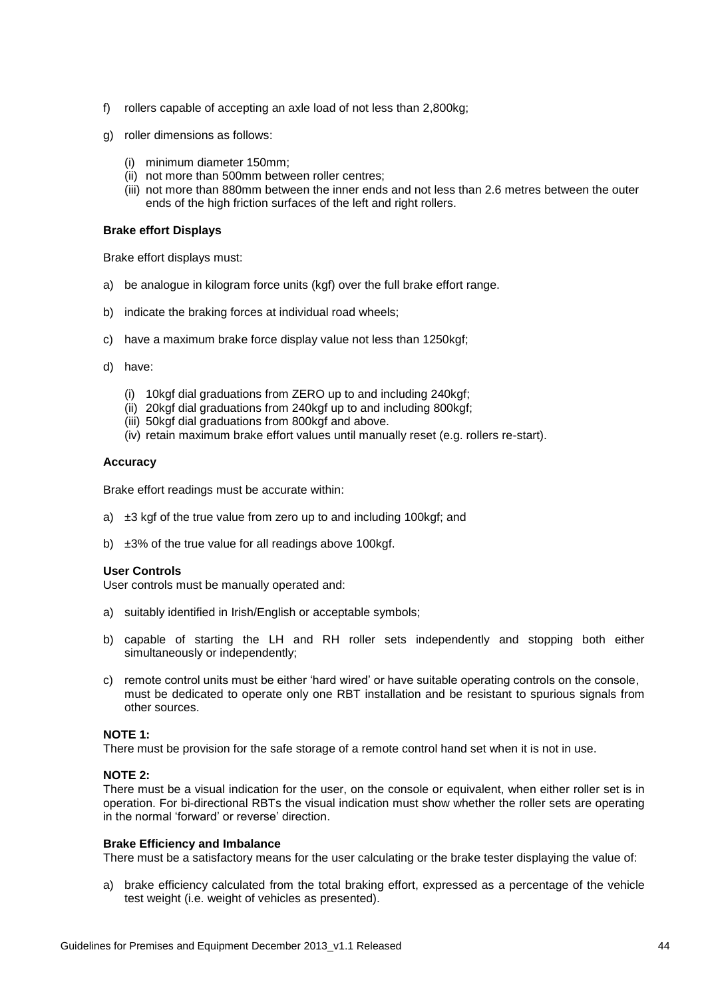- f) rollers capable of accepting an axle load of not less than 2,800kg;
- g) roller dimensions as follows:
	- (i) minimum diameter 150mm;
	- (ii) not more than 500mm between roller centres;
	- (iii) not more than 880mm between the inner ends and not less than 2.6 metres between the outer ends of the high friction surfaces of the left and right rollers.

#### **Brake effort Displays**

Brake effort displays must:

- a) be analogue in kilogram force units (kgf) over the full brake effort range.
- b) indicate the braking forces at individual road wheels;
- c) have a maximum brake force display value not less than 1250kgf;
- d) have:
	- (i) 10kgf dial graduations from ZERO up to and including 240kgf;
	- (ii) 20kgf dial graduations from 240kgf up to and including 800kgf;
	- (iii) 50kgf dial graduations from 800kgf and above.
	- (iv) retain maximum brake effort values until manually reset (e.g. rollers re-start).

#### **Accuracy**

Brake effort readings must be accurate within:

- a) ±3 kgf of the true value from zero up to and including 100kgf; and
- b)  $\pm 3\%$  of the true value for all readings above 100kgf.

#### **User Controls**

User controls must be manually operated and:

- a) suitably identified in Irish/English or acceptable symbols;
- b) capable of starting the LH and RH roller sets independently and stopping both either simultaneously or independently;
- c) remote control units must be either 'hard wired' or have suitable operating controls on the console, must be dedicated to operate only one RBT installation and be resistant to spurious signals from other sources.

#### **NOTE 1:**

There must be provision for the safe storage of a remote control hand set when it is not in use.

#### **NOTE 2:**

There must be a visual indication for the user, on the console or equivalent, when either roller set is in operation. For bi-directional RBTs the visual indication must show whether the roller sets are operating in the normal 'forward' or reverse' direction.

#### **Brake Efficiency and Imbalance**

There must be a satisfactory means for the user calculating or the brake tester displaying the value of:

a) brake efficiency calculated from the total braking effort, expressed as a percentage of the vehicle test weight (i.e. weight of vehicles as presented).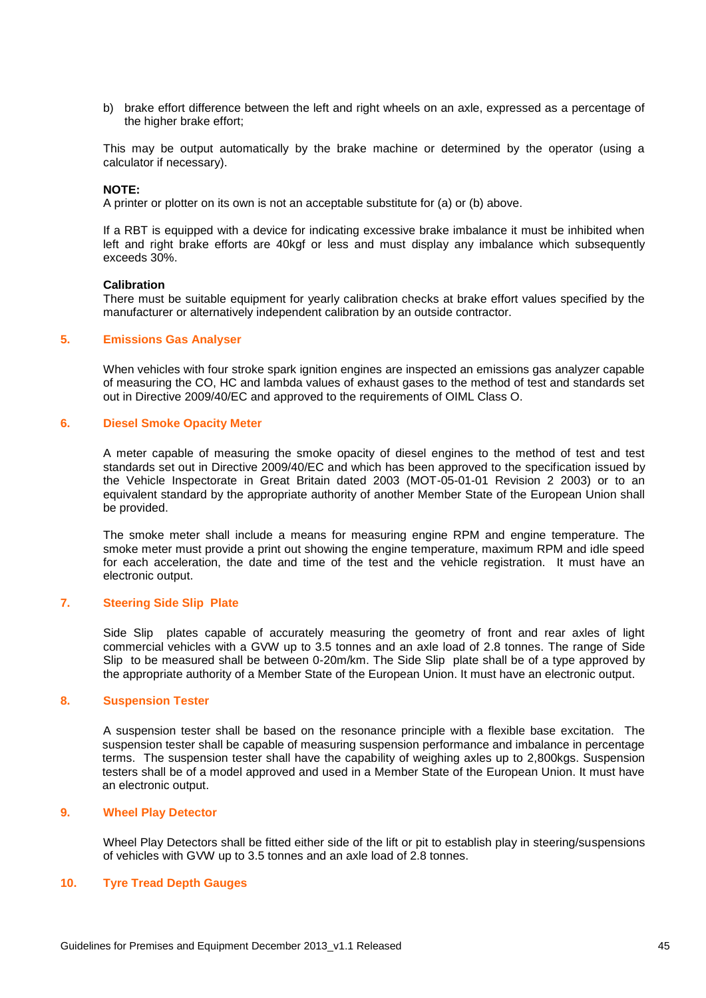b) brake effort difference between the left and right wheels on an axle, expressed as a percentage of the higher brake effort;

This may be output automatically by the brake machine or determined by the operator (using a calculator if necessary).

#### **NOTE:**

A printer or plotter on its own is not an acceptable substitute for (a) or (b) above.

If a RBT is equipped with a device for indicating excessive brake imbalance it must be inhibited when left and right brake efforts are 40kgf or less and must display any imbalance which subsequently exceeds 30%.

#### **Calibration**

There must be suitable equipment for yearly calibration checks at brake effort values specified by the manufacturer or alternatively independent calibration by an outside contractor.

#### <span id="page-44-0"></span>**5. Emissions Gas Analyser**

When vehicles with four stroke spark ignition engines are inspected an emissions gas analyzer capable of measuring the CO, HC and lambda values of exhaust gases to the method of test and standards set out in Directive 2009/40/EC and approved to the requirements of OIML Class O.

#### <span id="page-44-1"></span>**6. Diesel Smoke Opacity Meter**

A meter capable of measuring the smoke opacity of diesel engines to the method of test and test standards set out in Directive 2009/40/EC and which has been approved to the specification issued by the Vehicle Inspectorate in Great Britain dated 2003 (MOT-05-01-01 Revision 2 2003) or to an equivalent standard by the appropriate authority of another Member State of the European Union shall be provided.

The smoke meter shall include a means for measuring engine RPM and engine temperature. The smoke meter must provide a print out showing the engine temperature, maximum RPM and idle speed for each acceleration, the date and time of the test and the vehicle registration. It must have an electronic output.

#### <span id="page-44-2"></span>**7. Steering Side Slip Plate**

Side Slip plates capable of accurately measuring the geometry of front and rear axles of light commercial vehicles with a GVW up to 3.5 tonnes and an axle load of 2.8 tonnes. The range of Side Slip to be measured shall be between 0-20m/km. The Side Slip plate shall be of a type approved by the appropriate authority of a Member State of the European Union. It must have an electronic output.

#### <span id="page-44-3"></span>**8. Suspension Tester**

A suspension tester shall be based on the resonance principle with a flexible base excitation. The suspension tester shall be capable of measuring suspension performance and imbalance in percentage terms. The suspension tester shall have the capability of weighing axles up to 2,800kgs. Suspension testers shall be of a model approved and used in a Member State of the European Union. It must have an electronic output.

#### <span id="page-44-4"></span>**9. Wheel Play Detector**

Wheel Play Detectors shall be fitted either side of the lift or pit to establish play in steering/suspensions of vehicles with GVW up to 3.5 tonnes and an axle load of 2.8 tonnes.

#### <span id="page-44-5"></span>**10. Tyre Tread Depth Gauges**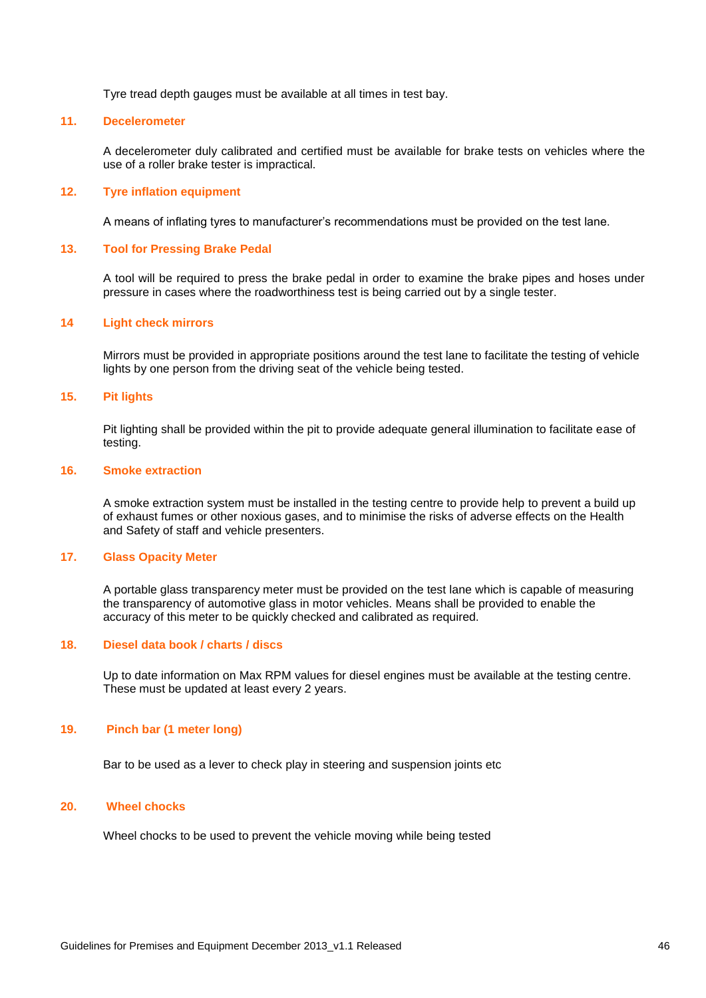Tyre tread depth gauges must be available at all times in test bay.

#### <span id="page-45-0"></span>**11. Decelerometer**

A decelerometer duly calibrated and certified must be available for brake tests on vehicles where the use of a roller brake tester is impractical.

#### <span id="page-45-1"></span>**12. Tyre inflation equipment**

A means of inflating tyres to manufacturer's recommendations must be provided on the test lane.

#### <span id="page-45-2"></span>**13. Tool for Pressing Brake Pedal**

A tool will be required to press the brake pedal in order to examine the brake pipes and hoses under pressure in cases where the roadworthiness test is being carried out by a single tester.

#### <span id="page-45-3"></span>**14 Light check mirrors**

Mirrors must be provided in appropriate positions around the test lane to facilitate the testing of vehicle lights by one person from the driving seat of the vehicle being tested.

#### <span id="page-45-4"></span>**15. Pit lights**

Pit lighting shall be provided within the pit to provide adequate general illumination to facilitate ease of testing.

#### <span id="page-45-5"></span>**16. Smoke extraction**

A smoke extraction system must be installed in the testing centre to provide help to prevent a build up of exhaust fumes or other noxious gases, and to minimise the risks of adverse effects on the Health and Safety of staff and vehicle presenters.

#### <span id="page-45-6"></span>**17. Glass Opacity Meter**

A portable glass transparency meter must be provided on the test lane which is capable of measuring the transparency of automotive glass in motor vehicles. Means shall be provided to enable the accuracy of this meter to be quickly checked and calibrated as required.

#### <span id="page-45-7"></span>**18. Diesel data book / charts / discs**

Up to date information on Max RPM values for diesel engines must be available at the testing centre. These must be updated at least every 2 years.

#### <span id="page-45-8"></span>**19. Pinch bar (1 meter long)**

Bar to be used as a lever to check play in steering and suspension joints etc

#### <span id="page-45-9"></span>**20. Wheel chocks**

Wheel chocks to be used to prevent the vehicle moving while being tested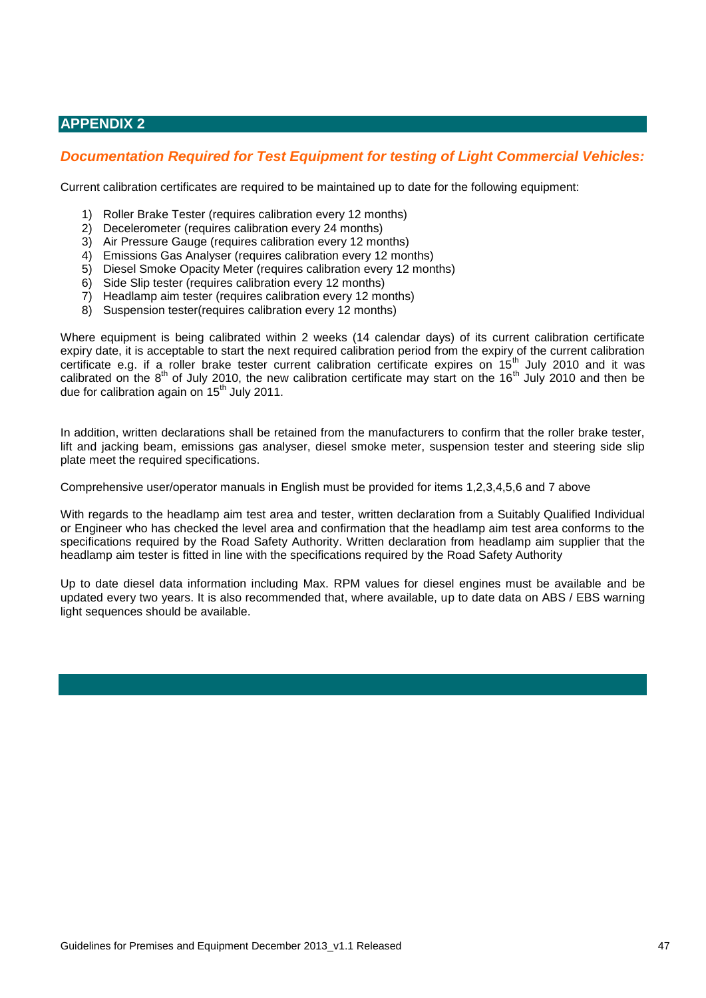## <span id="page-46-0"></span>**APPENDIX 2**

## <span id="page-46-1"></span>*Documentation Required for Test Equipment for testing of Light Commercial Vehicles:*

Current calibration certificates are required to be maintained up to date for the following equipment:

- 1) Roller Brake Tester (requires calibration every 12 months)
- 2) Decelerometer (requires calibration every 24 months)
- 3) Air Pressure Gauge (requires calibration every 12 months)
- 4) Emissions Gas Analyser (requires calibration every 12 months)
- 5) Diesel Smoke Opacity Meter (requires calibration every 12 months)
- 6) Side Slip tester (requires calibration every 12 months)
- 7) Headlamp aim tester (requires calibration every 12 months)
- 8) Suspension tester(requires calibration every 12 months)

Where equipment is being calibrated within 2 weeks (14 calendar days) of its current calibration certificate expiry date, it is acceptable to start the next required calibration period from the expiry of the current calibration certificate e.g. if a roller brake tester current calibration certificate expires on 15<sup>th</sup> July 2010 and it was calibrated on the  $8<sup>th</sup>$  of July 2010, the new calibration certificate may start on the 16<sup>th</sup> July 2010 and then be due for calibration again on 15<sup>th</sup> July 2011.

In addition, written declarations shall be retained from the manufacturers to confirm that the roller brake tester, lift and jacking beam, emissions gas analyser, diesel smoke meter, suspension tester and steering side slip plate meet the required specifications.

Comprehensive user/operator manuals in English must be provided for items 1,2,3,4,5,6 and 7 above

With regards to the headlamp aim test area and tester, written declaration from a Suitably Qualified Individual or Engineer who has checked the level area and confirmation that the headlamp aim test area conforms to the specifications required by the Road Safety Authority. Written declaration from headlamp aim supplier that the headlamp aim tester is fitted in line with the specifications required by the Road Safety Authority

Up to date diesel data information including Max. RPM values for diesel engines must be available and be updated every two years. It is also recommended that, where available, up to date data on ABS / EBS warning light sequences should be available.